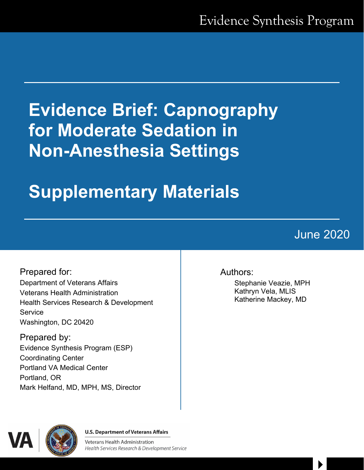# **Evidence Brief: Capnography for Moderate Sedation in Non-Anesthesia Settings**

# **Supplementary Materials**

## June 2020

 $\begin{array}{c} \hline \end{array}$ 

Prepared for: Department of Veterans Affairs Veterans Health Administration Health Services Research & Development **Service** Washington, DC 20420

Prepared by: Evidence Synthesis Program (ESP) Coordinating Center Portland VA Medical Center Portland, OR Mark Helfand, MD, MPH, MS, Director

#### Authors:

Stephanie Veazie, MPH Kathryn Vela, MLIS Katherine Mackey, MD



**U.S. Department of Veterans Affairs** 

**Veterans Health Administration** Health Services Research & Development Service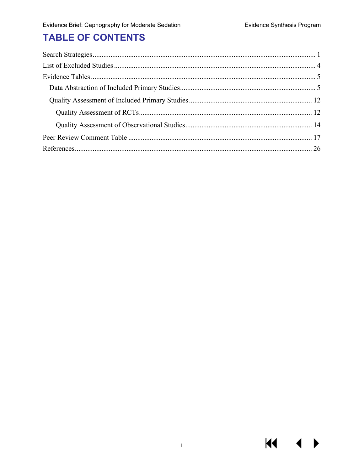$M \sim 1$ 

 $\blacktriangleright$ 

## **TABLE OF CONTENTS**

 $\hat{\mathbf{I}}$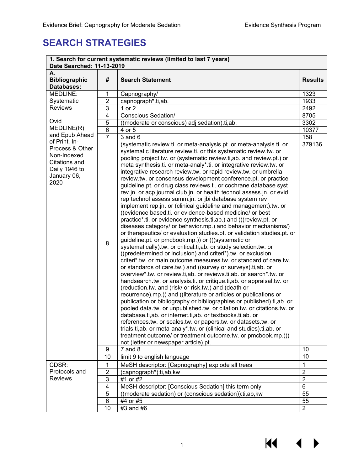## <span id="page-2-0"></span>**SEARCH STRATEGIES**

| 1. Search for current systematic reviews (limited to last 7 years)<br>Date Searched: 11-13-2019 |                |                                                                                                                               |                |  |  |  |
|-------------------------------------------------------------------------------------------------|----------------|-------------------------------------------------------------------------------------------------------------------------------|----------------|--|--|--|
|                                                                                                 | A.             |                                                                                                                               |                |  |  |  |
| <b>Bibliographic</b>                                                                            | #              | <b>Search Statement</b>                                                                                                       | <b>Results</b> |  |  |  |
| <b>Databases:</b>                                                                               |                |                                                                                                                               |                |  |  |  |
| MEDLINE:                                                                                        | 1              | Capnography/                                                                                                                  | 1323           |  |  |  |
| Systematic                                                                                      | $\overline{2}$ | capnograph*.ti,ab.                                                                                                            | 1933           |  |  |  |
| <b>Reviews</b>                                                                                  | 3              | 1 or 2                                                                                                                        | 2492           |  |  |  |
|                                                                                                 | 4              | <b>Conscious Sedation/</b>                                                                                                    | 8705           |  |  |  |
| Ovid                                                                                            | 5              | ((moderate or conscious) adj sedation).ti,ab.                                                                                 | 3302           |  |  |  |
| MEDLINE(R)                                                                                      | 6              | 4 or 5                                                                                                                        | 10377          |  |  |  |
| and Epub Ahead                                                                                  | $\overline{7}$ | $3$ and $6$                                                                                                                   | 158            |  |  |  |
| of Print, In-<br>Process & Other                                                                |                | (systematic review.ti. or meta-analysis.pt. or meta-analysis.ti. or                                                           | 379136         |  |  |  |
| Non-Indexed                                                                                     |                | systematic literature review.ti. or this systematic review.tw. or                                                             |                |  |  |  |
| Citations and                                                                                   |                | pooling project.tw. or (systematic review.ti, ab. and review.pt.) or                                                          |                |  |  |  |
| Daily 1946 to                                                                                   |                | meta synthesis.ti. or meta-analy*.ti. or integrative review.tw. or                                                            |                |  |  |  |
| January 06,                                                                                     |                | integrative research review.tw. or rapid review.tw. or umbrella                                                               |                |  |  |  |
| 2020                                                                                            |                | review.tw. or consensus development conference.pt. or practice                                                                |                |  |  |  |
|                                                                                                 |                | guideline.pt. or drug class reviews.ti. or cochrane database syst                                                             |                |  |  |  |
|                                                                                                 |                | rev.jn. or acp journal club.jn. or health technol assess.jn. or evid                                                          |                |  |  |  |
|                                                                                                 |                | rep technol assess summ.jn. or jbi database system rev<br>implement rep.jn. or (clinical guideline and management).tw. or     |                |  |  |  |
|                                                                                                 |                | ((evidence based.ti. or evidence-based medicine/ or best                                                                      |                |  |  |  |
|                                                                                                 |                | practice*.ti. or evidence synthesis.ti,ab.) and (((review.pt. or                                                              |                |  |  |  |
|                                                                                                 |                | diseases category/ or behavior.mp.) and behavior mechanisms/)                                                                 |                |  |  |  |
|                                                                                                 |                | or therapeutics/ or evaluation studies.pt. or validation studies.pt. or                                                       |                |  |  |  |
|                                                                                                 |                | guideline.pt. or pmcbook.mp.)) or (((systematic or                                                                            |                |  |  |  |
|                                                                                                 | 8              | systematically).tw. or critical.ti,ab. or study selection.tw. or                                                              |                |  |  |  |
|                                                                                                 |                | ((predetermined or inclusion) and criteri*).tw. or exclusion                                                                  |                |  |  |  |
|                                                                                                 |                | criteri*.tw. or main outcome measures.tw. or standard of care.tw.                                                             |                |  |  |  |
|                                                                                                 |                | or standards of care.tw.) and ((survey or surveys).ti,ab. or                                                                  |                |  |  |  |
|                                                                                                 |                | overview*.tw. or review.ti, ab. or reviews.ti, ab. or search*.tw. or                                                          |                |  |  |  |
|                                                                                                 |                | handsearch.tw. or analysis.ti. or critique.ti, ab. or appraisal.tw. or                                                        |                |  |  |  |
|                                                                                                 |                | (reduction.tw. and (risk/ or risk.tw.) and (death or                                                                          |                |  |  |  |
|                                                                                                 |                | recurrence).mp.)) and ((literature or articles or publications or                                                             |                |  |  |  |
|                                                                                                 |                | publication or bibliography or bibliographies or published).ti,ab. or                                                         |                |  |  |  |
|                                                                                                 |                | pooled data.tw. or unpublished.tw. or citation.tw. or citations.tw. or                                                        |                |  |  |  |
|                                                                                                 |                | database.ti, ab. or internet.ti, ab. or textbooks.ti, ab. or<br>references.tw. or scales.tw. or papers.tw. or datasets.tw. or |                |  |  |  |
|                                                                                                 |                | trials.ti,ab. or meta-analy*.tw. or (clinical and studies).ti,ab. or                                                          |                |  |  |  |
|                                                                                                 |                | treatment outcome/ or treatment outcome.tw. or pmcbook.mp.)))                                                                 |                |  |  |  |
|                                                                                                 |                | not (letter or newspaper article).pt.                                                                                         |                |  |  |  |
|                                                                                                 | 9              | $7$ and $8$                                                                                                                   | 10             |  |  |  |
|                                                                                                 | 10             | limit 9 to english language                                                                                                   | 10             |  |  |  |
| CDSR:                                                                                           | 1              | MeSH descriptor: [Capnography] explode all trees                                                                              | 1              |  |  |  |
| Protocols and                                                                                   | 2              | (capnograph*):ti,ab,kw                                                                                                        | $\overline{2}$ |  |  |  |
| <b>Reviews</b>                                                                                  | 3              | #1 or #2                                                                                                                      | $\overline{2}$ |  |  |  |
|                                                                                                 | 4              | MeSH descriptor: [Conscious Sedation] this term only                                                                          | 6              |  |  |  |
|                                                                                                 | 5              | ((moderate sedation) or (conscious sedation)): ti, ab, kw                                                                     | 55             |  |  |  |
|                                                                                                 | 6              | #4 or #5                                                                                                                      | 55             |  |  |  |
|                                                                                                 | 10             | #3 and #6                                                                                                                     | 2              |  |  |  |

 $M$ 

◀

▶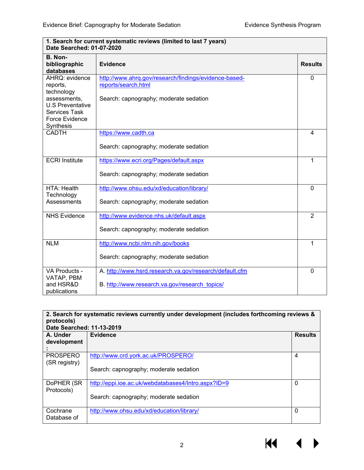| 1. Search for current systematic reviews (limited to last 7 years)<br>Date Searched: 01-07-2020 |                                                         |                |  |  |
|-------------------------------------------------------------------------------------------------|---------------------------------------------------------|----------------|--|--|
| B. Non-<br>bibliographic<br>databases                                                           | <b>Evidence</b>                                         | <b>Results</b> |  |  |
| AHRQ: evidence                                                                                  | http://www.ahrq.gov/research/findings/evidence-based-   | $\mathbf{0}$   |  |  |
| reports,                                                                                        | reports/search.html                                     |                |  |  |
| technology<br>assessments,                                                                      | Search: capnography; moderate sedation                  |                |  |  |
| <b>U.S Preventative</b>                                                                         |                                                         |                |  |  |
| <b>Services Task</b>                                                                            |                                                         |                |  |  |
| Force Evidence                                                                                  |                                                         |                |  |  |
| Synthesis                                                                                       |                                                         |                |  |  |
| <b>CADTH</b>                                                                                    | https://www.cadth.ca                                    | $\overline{4}$ |  |  |
|                                                                                                 | Search: capnography; moderate sedation                  |                |  |  |
| <b>ECRI</b> Institute                                                                           | https://www.ecri.org/Pages/default.aspx                 | 1              |  |  |
|                                                                                                 | Search: capnography; moderate sedation                  |                |  |  |
| HTA: Health                                                                                     | http://www.ohsu.edu/xd/education/library/               | $\Omega$       |  |  |
| Technology<br>Assessments                                                                       | Search: capnography; moderate sedation                  |                |  |  |
| <b>NHS Evidence</b>                                                                             | http://www.evidence.nhs.uk/default.aspx                 | $\overline{2}$ |  |  |
|                                                                                                 | Search: capnography; moderate sedation                  |                |  |  |
| <b>NLM</b>                                                                                      | http://www.ncbi.nlm.nih.gov/books                       | 1              |  |  |
|                                                                                                 | Search: capnography; moderate sedation                  |                |  |  |
| VA Products -                                                                                   | A. http://www.hsrd.research.va.gov/research/default.cfm | $\Omega$       |  |  |
| VATAP, PBM                                                                                      |                                                         |                |  |  |
| and HSR&D<br>publications                                                                       | B. http://www.research.va.gov/research_topics/          |                |  |  |

| 2. Search for systematic reviews currently under development (includes forthcoming reviews &<br>protocols) |                                                     |   |  |  |  |  |
|------------------------------------------------------------------------------------------------------------|-----------------------------------------------------|---|--|--|--|--|
| Date Searched: 11-13-2019                                                                                  |                                                     |   |  |  |  |  |
| A. Under<br>Evidence<br><b>Results</b>                                                                     |                                                     |   |  |  |  |  |
| development                                                                                                |                                                     |   |  |  |  |  |
|                                                                                                            |                                                     |   |  |  |  |  |
| <b>PROSPERO</b><br>(SR registry)                                                                           | http://www.crd.york.ac.uk/PROSPERO/                 | 4 |  |  |  |  |
|                                                                                                            | Search: capnography; moderate sedation              |   |  |  |  |  |
| DoPHER (SR)<br>Protocols)                                                                                  | http://eppi.ioe.ac.uk/webdatabases4/Intro.aspx?ID=9 | 0 |  |  |  |  |
|                                                                                                            | Search: capnography; moderate sedation              |   |  |  |  |  |
| Cochrane<br>Database of                                                                                    | http://www.ohsu.edu/xd/education/library/           | 0 |  |  |  |  |

**1. Search for current systematic reviews (limited to last 7 years)**

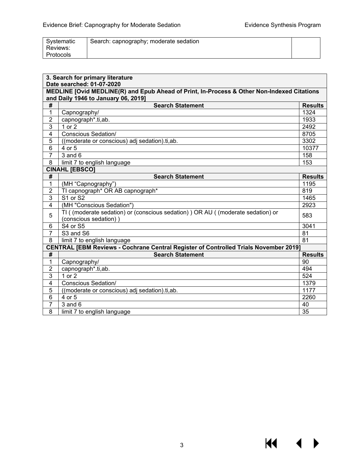$M \rightarrow$ 

| Systematic<br>Reviews: | Search: capnography; moderate sedation |  |
|------------------------|----------------------------------------|--|
| Protocols              |                                        |  |

|                | 3. Search for primary literature<br>Date searched: 01-07-2020                               |                |  |  |  |  |  |
|----------------|---------------------------------------------------------------------------------------------|----------------|--|--|--|--|--|
|                | MEDLINE [Ovid MEDLINE(R) and Epub Ahead of Print, In-Process & Other Non-Indexed Citations  |                |  |  |  |  |  |
|                | and Daily 1946 to January 06, 2019]                                                         |                |  |  |  |  |  |
| #              | <b>Search Statement</b>                                                                     | <b>Results</b> |  |  |  |  |  |
| $\mathbf{1}$   | Capnography/                                                                                | 1324           |  |  |  |  |  |
| $\overline{2}$ | capnograph*.ti,ab.                                                                          | 1933           |  |  |  |  |  |
| $\overline{3}$ | $1$ or $2$                                                                                  | 2492           |  |  |  |  |  |
| $\overline{4}$ | Conscious Sedation/                                                                         | 8705           |  |  |  |  |  |
| 5              | ((moderate or conscious) adj sedation).ti,ab.                                               | 3302           |  |  |  |  |  |
| 6              | 4 or 5                                                                                      | 10377          |  |  |  |  |  |
| $\overline{7}$ | $3$ and $6$                                                                                 | 158            |  |  |  |  |  |
| 8              | limit 7 to english language                                                                 | 153            |  |  |  |  |  |
|                | <b>CINAHL [EBSCO]</b>                                                                       |                |  |  |  |  |  |
| #              | <b>Search Statement</b>                                                                     | <b>Results</b> |  |  |  |  |  |
| 1              | (MH "Capnography")                                                                          | 1195           |  |  |  |  |  |
| $\overline{2}$ | TI capnograph* OR AB capnograph*                                                            | 819            |  |  |  |  |  |
| $\overline{3}$ | S <sub>1</sub> or S <sub>2</sub>                                                            | 1465           |  |  |  |  |  |
| 4              | (MH "Conscious Sedation")                                                                   | 2923           |  |  |  |  |  |
| 5              | TI ( (moderate sedation) or (conscious sedation) ) OR AU ( (moderate sedation) or           |                |  |  |  |  |  |
|                | (conscious sedation))                                                                       | 583            |  |  |  |  |  |
| 6              | S4 or S5                                                                                    | 3041           |  |  |  |  |  |
| $\overline{7}$ | S <sub>3</sub> and S <sub>6</sub>                                                           | 81             |  |  |  |  |  |
| 8              | limit 7 to english language                                                                 | 81             |  |  |  |  |  |
|                | <b>CENTRAL [EBM Reviews - Cochrane Central Register of Controlled Trials November 2019]</b> |                |  |  |  |  |  |
| #              | <b>Search Statement</b>                                                                     | <b>Results</b> |  |  |  |  |  |
| $\mathbf{1}$   | Capnography/                                                                                | 90             |  |  |  |  |  |
| $\overline{2}$ | capnograph*.ti,ab.                                                                          | 494            |  |  |  |  |  |
| 3              | $1$ or $2$                                                                                  | 524            |  |  |  |  |  |
| 4              | <b>Conscious Sedation/</b>                                                                  | 1379           |  |  |  |  |  |
| 5              | ((moderate or conscious) adj sedation).ti,ab.                                               | 1177           |  |  |  |  |  |
| 6              | 4 or 5                                                                                      | 2260           |  |  |  |  |  |
| $\overline{7}$ | $3$ and $6$                                                                                 | 40             |  |  |  |  |  |
| 8              | limit 7 to english language                                                                 | 35             |  |  |  |  |  |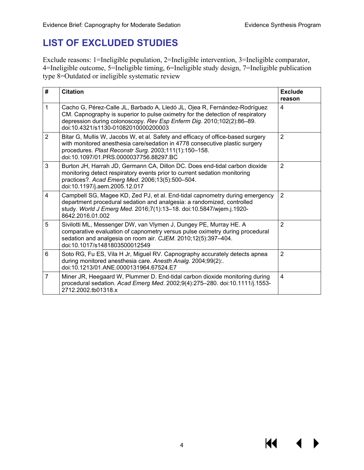## <span id="page-5-0"></span>**LIST OF EXCLUDED STUDIES**

Exclude reasons: 1=Ineligible population, 2=Ineligible intervention, 3=Ineligible comparator, 4=Ineligible outcome, 5=Ineligible timing, 6=Ineligible study design, 7=Ineligible publication type 8=Outdated or ineligible systematic review

| #              | <b>Citation</b>                                                                                                                                                                                                                                                             | <b>Exclude</b><br>reason |
|----------------|-----------------------------------------------------------------------------------------------------------------------------------------------------------------------------------------------------------------------------------------------------------------------------|--------------------------|
| 1              | Cacho G, Pérez-Calle JL, Barbado A, Lledó JL, Ojea R, Fernández-Rodríguez<br>CM. Capnography is superior to pulse oximetry for the detection of respiratory<br>depression during colonoscopy. Rev Esp Enferm Dig. 2010;102(2):86-89.<br>doi:10.4321/s1130-01082010000200003 | 4                        |
| $\overline{2}$ | Bitar G, Mullis W, Jacobs W, et al. Safety and efficacy of office-based surgery<br>with monitored anesthesia care/sedation in 4778 consecutive plastic surgery<br>procedures. Plast Reconstr Surg. 2003;111(1):150-158.<br>doi:10.1097/01.PRS.0000037756.88297.BC           | $\overline{2}$           |
| 3              | Burton JH, Harrah JD, Germann CA, Dillon DC. Does end-tidal carbon dioxide<br>monitoring detect respiratory events prior to current sedation monitoring<br>practices?. Acad Emerg Med. 2006;13(5):500-504.<br>doi:10.1197/j.aem.2005.12.017                                 | $\overline{2}$           |
| $\overline{4}$ | Campbell SG, Magee KD, Zed PJ, et al. End-tidal capnometry during emergency<br>department procedural sedation and analgesia: a randomized, controlled<br>study. World J Emerg Med. 2016;7(1):13-18. doi:10.5847/wjem.j.1920-<br>8642.2016.01.002                            | $\overline{2}$           |
| 5              | Sivilotti ML, Messenger DW, van Vlymen J, Dungey PE, Murray HE. A<br>comparative evaluation of capnometry versus pulse oximetry during procedural<br>sedation and analgesia on room air. CJEM. 2010;12(5):397-404.<br>doi:10.1017/s1481803500012549                         | $\overline{2}$           |
| 6              | Soto RG, Fu ES, Vila H Jr, Miguel RV. Capnography accurately detects apnea<br>during monitored anesthesia care. Anesth Analg. 2004;99(2):.<br>doi:10.1213/01.ANE.0000131964.67524.E7                                                                                        | $\overline{2}$           |
| $\overline{7}$ | Miner JR, Heegaard W, Plummer D. End-tidal carbon dioxide monitoring during<br>procedural sedation. Acad Emerg Med. 2002;9(4):275-280. doi:10.1111/j.1553-<br>2712.2002.tb01318.x                                                                                           | 4                        |

KI

▶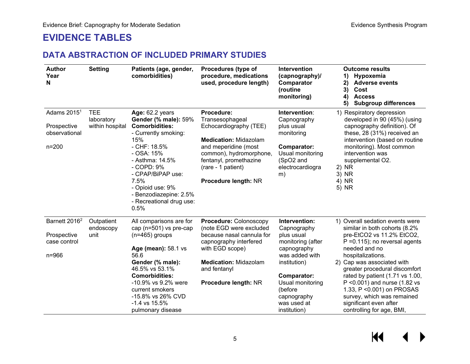### **EVIDENCE TABLES**

#### **DATA ABSTRACTION OF INCLUDED PRIMARY STUDIES**

<span id="page-6-1"></span><span id="page-6-0"></span>

| <b>Author</b><br>Year<br>N                                            | <b>Setting</b>                              | Patients (age, gender,<br>comorbidities)                                                                                                                                                                                                                                             | Procedures (type of<br>procedure, medications<br>used, procedure length)                                                                                                                                           | Intervention<br>(capnography)/<br>Comparator<br>(routine<br>monitoring)                                                                                                                                             | <b>Outcome results</b><br>Hypoxemia<br>1)<br><b>Adverse events</b><br>2)<br>3)<br>Cost<br><b>Access</b><br>4)<br>5)<br><b>Subgroup differences</b>                                                                                                                                                                                                                                                                            |
|-----------------------------------------------------------------------|---------------------------------------------|--------------------------------------------------------------------------------------------------------------------------------------------------------------------------------------------------------------------------------------------------------------------------------------|--------------------------------------------------------------------------------------------------------------------------------------------------------------------------------------------------------------------|---------------------------------------------------------------------------------------------------------------------------------------------------------------------------------------------------------------------|-------------------------------------------------------------------------------------------------------------------------------------------------------------------------------------------------------------------------------------------------------------------------------------------------------------------------------------------------------------------------------------------------------------------------------|
| Adams 2015 <sup>1</sup><br>Prospective<br>observational<br>$n = 200$  | <b>TEE</b><br>laboratory<br>within hospital | Age: 62.2 years<br><b>Gender (% male): 59%</b><br><b>Comorbidities:</b><br>- Currently smoking:<br>15%<br>- CHF: 18.5%<br>- OSA: 15%<br>- Asthma: 14.5%<br>- COPD: 9%<br>- CPAP/BiPAP use:<br>7.5%<br>- Opioid use: 9%<br>- Benzodiazepine: 2.5%<br>- Recreational drug use:<br>0.5% | Procedure:<br>Transesophageal<br>Echocardiography (TEE)<br><b>Medication: Midazolam</b><br>and meperidine (most<br>common), hydromorphone,<br>fentanyl, promethazine<br>(rare - 1 patient)<br>Procedure length: NR | Intervention:<br>Capnography<br>plus usual<br>monitoring<br><b>Comparator:</b><br>Usual monitoring<br>(SpO2 and<br>electrocardiogra<br>m)                                                                           | 1) Respiratory depression<br>developed in 90 (45%) (using<br>capnography definition). Of<br>these, 28 (31%) received an<br>intervention (based on routine<br>monitoring). Most common<br>intervention was<br>supplemental O2.<br>2) NR<br>3) NR<br>4) NR<br>5) NR                                                                                                                                                             |
| Barnett 2016 <sup>2</sup><br>Prospective<br>case control<br>$n = 966$ | Outpatient<br>endoscopy<br>unit             | All comparisons are for<br>cap (n=501) vs pre-cap<br>$(n=465)$ groups<br>Age (mean): 58.1 vs<br>56.6<br>Gender (% male):<br>46.5% vs 53.1%<br><b>Comorbidities:</b><br>-10.9% vs 9.2% were<br>current smokers<br>-15.8% vs 26% CVD<br>$-1.4$ vs $15.5%$<br>pulmonary disease         | Procedure: Colonoscopy<br>(note EGD were excluded<br>because nasal cannula for<br>capnography interfered<br>with EGD scope)<br><b>Medication: Midazolam</b><br>and fentanyl<br>Procedure length: NR                | Intervention:<br>Capnography<br>plus usual<br>monitoring (after<br>capnography<br>was added with<br>institution)<br><b>Comparator:</b><br>Usual monitoring<br>(before<br>capnography<br>was used at<br>institution) | 1) Overall sedation events were<br>similar in both cohorts (8.2%<br>pre-EtCO2 vs 11.2% EtCO2,<br>$P = 0.115$ ; no reversal agents<br>needed and no<br>hospitalizations.<br>2) Cap was associated with<br>greater procedural discomfort<br>rated by patient (1.71 vs 1.00,<br>P < 0.001) and nurse (1.82 vs<br>1.33, P < 0.001) on PROSAS<br>survey, which was remained<br>significant even after<br>controlling for age, BMI, |

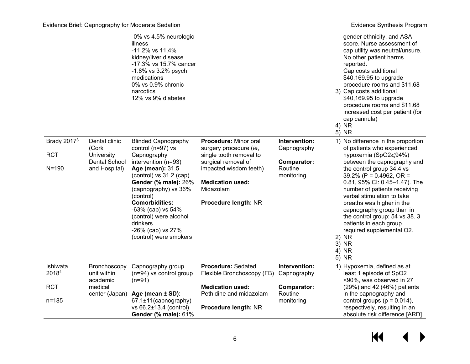|                                               |                                                                               | -0% vs 4.5% neurologic<br>illness<br>-11.2% vs 11.4%<br>kidney/liver disease<br>-17.3% vs 15.7% cancer<br>-1.8% vs 3.2% psych<br>medications<br>0% vs 0.9% chronic<br>narcotics<br>12% vs 9% diabetes                                                                                                                                |                                                                                                                                                                                             |                                                                      | gender ethnicity, and ASA<br>score. Nurse assessment of<br>cap utility was neutral/unsure.<br>No other patient harms<br>reported.<br>Cap costs additional<br>\$40,169.95 to upgrade<br>procedure rooms and \$11.68<br>3) Cap costs additional<br>\$40,169.95 to upgrade<br>procedure rooms and \$11.68<br>increased cost per patient (for<br>cap cannula)                                                                                                         |
|-----------------------------------------------|-------------------------------------------------------------------------------|--------------------------------------------------------------------------------------------------------------------------------------------------------------------------------------------------------------------------------------------------------------------------------------------------------------------------------------|---------------------------------------------------------------------------------------------------------------------------------------------------------------------------------------------|----------------------------------------------------------------------|-------------------------------------------------------------------------------------------------------------------------------------------------------------------------------------------------------------------------------------------------------------------------------------------------------------------------------------------------------------------------------------------------------------------------------------------------------------------|
|                                               |                                                                               |                                                                                                                                                                                                                                                                                                                                      |                                                                                                                                                                                             |                                                                      | 4) NR<br>5) NR                                                                                                                                                                                                                                                                                                                                                                                                                                                    |
| <b>Brady 20173</b><br><b>RCT</b><br>$N = 190$ | Dental clinic<br>(Cork<br>University<br><b>Dental School</b><br>and Hospital) | <b>Blinded Capnography</b><br>control (n=97) vs<br>Capnography<br>intervention (n=93)<br>Age (mean): 31.5<br>(control) vs 31.2 (cap)<br>Gender (% male): 26%<br>(capnography) vs 36%<br>(control)<br><b>Comorbidities:</b><br>-63% (cap) vs 54%<br>(control) were alcohol<br>drinkers<br>-26% (cap) vs 27%<br>(control) were smokers | Procedure: Minor oral<br>surgery procedure (ie,<br>single tooth removal to<br>surgical removal of<br>impacted wisdom teeth)<br><b>Medication used:</b><br>Midazolam<br>Procedure length: NR | Intervention:<br>Capnography<br>Comparator:<br>Routine<br>monitoring | 1) No difference in the proportion<br>of patients who experienced<br>hypoxemia (SpO2≤94%)<br>between the capnography and<br>the control group 34.4 vs<br>39.2% ( $P = 0.4962$ , OR =<br>0.81, 95% CI: 0.45-1.47). The<br>number of patients receiving<br>verbal stimulation to take<br>breaths was higher in the<br>capnography group than in<br>the control group: 54 vs 38. 3<br>patients in each group<br>required supplemental O2.<br>2) NR<br>3) NR<br>4) NR |
| Ishiwata<br>20184<br><b>RCT</b><br>$n = 185$  | Bronchoscopy<br>unit within<br>academic<br>medical<br>center (Japan)          | Capnography group<br>$(n=94)$ vs control group<br>$(n=91)$<br>Age (mean ± SD):<br>67.1±11(capnography)<br>vs 66.2±13.4 (control)<br><b>Gender (% male): 61%</b>                                                                                                                                                                      | <b>Procedure: Sedated</b><br>Flexible Bronchoscopy (FB)<br><b>Medication used:</b><br>Pethidine and midazolam<br><b>Procedure length: NR</b>                                                | Intervention:<br>Capnography<br>Comparator:<br>Routine<br>monitoring | 5) NR<br>1) Hypoxemia, defined as at<br>least 1 episode of SpO2<br><90%, was observed in 27<br>(29%) and 42 (46%) patients<br>in the capnography and<br>control groups ( $p = 0.014$ ),<br>respectively, resulting in an<br>absolute risk difference [ARD]                                                                                                                                                                                                        |

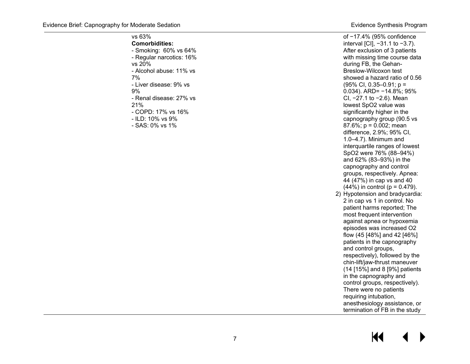of −17.4% (95% confidence interval [CI], −31.1 to −3.7). After exclusion of 3 patients with missing time course data

#### vs 63%

**Comorbidities:** - Smoking: 60% vs 64% - Regular narcotics: 16% vs 20% - Alcohol abuse: 11% vs 7% - Liver disease: 9% vs 9% - Renal disease: 27% vs 21% - COPD: 17% vs 16% - ILD: 10% vs 9% - SAS: 0% vs 1%

during FB, the Gehan - Breslow -Wilcoxon test showed a hazard ratio of 0.56 (95% CI, 0.35 –0.91; p = 0.034). ARD= −14.8%; 95% CI, −27.1 to −2.6). Mean lowest SpO2 value was significantly higher in the capnography group (90.5 vs 87.6%; p = 0.002; mean difference, 2.9%; 95% CI, 1.0 –4.7). Minimum and interquartile ranges of lowest SpO2 were 76% (88 –94%) and 62% (83 –93%) in the capnography and control groups, respectively. Apnea:<br>44 (47%) in cap vs and 40  $(44\%)$  in control (p = 0.479). 2) Hypotension and bradycardia: 2 in cap vs 1 in control. No

#### patient harms reported; The most frequent intervention against apnea or hypoxemia episodes was increased O2 flow (45 [48%] and 42 [46%] patients in the capnography and control groups, respectively), followed by the chin -lift/jaw -thrust maneuver (14 [15%] and 8 [9%] patients in the capnography and control groups, respectively). There were no patients requiring intubation, anesthesiology assistance, or termination of FB in the study

## KK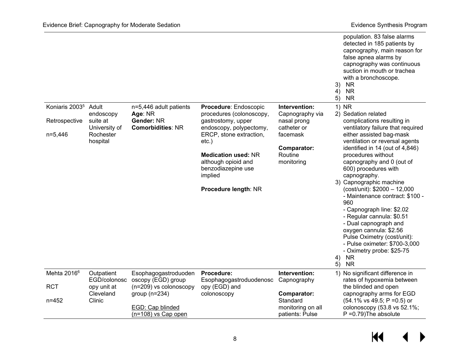|                            |                           |                                             |                                                                                                            |                                                  | population. 83 false alarms<br>detected in 185 patients by<br>capnography, main reason for<br>false apnea alarms by<br>capnography was continuous<br>suction in mouth or trachea<br>with a bronchoscope.<br>3)<br><b>NR</b><br><b>NR</b><br>4)<br><b>NR</b><br>5)                         |
|----------------------------|---------------------------|---------------------------------------------|------------------------------------------------------------------------------------------------------------|--------------------------------------------------|-------------------------------------------------------------------------------------------------------------------------------------------------------------------------------------------------------------------------------------------------------------------------------------------|
| Koniaris 2003 <sup>5</sup> | Adult<br>endoscopy        | n=5,446 adult patients<br>Age: NR           | Procedure: Endoscopic<br>procedures (colonoscopy,                                                          | Intervention:<br>Capnography via                 | 1) NR<br>2) Sedation related                                                                                                                                                                                                                                                              |
| Retrospective              | suite at<br>University of | Gender: NR<br><b>Comorbidities: NR</b>      | gastrostomy, upper<br>endoscopy, polypectomy,                                                              | nasal prong<br>catheter or                       | complications resulting in<br>ventilatory failure that required                                                                                                                                                                                                                           |
| $n=5,446$                  | Rochester<br>hospital     |                                             | ERCP, stone extraction,<br>$etc.$ )                                                                        | facemask                                         | either assisted bag-mask<br>ventilation or reversal agents                                                                                                                                                                                                                                |
|                            |                           |                                             | <b>Medication used: NR</b><br>although opioid and<br>benzodiazepine use<br>implied<br>Procedure length: NR | Comparator:<br>Routine<br>monitoring             | identified in 14 (out of 4,846)<br>procedures without<br>capnography and 0 (out of<br>600) procedures with<br>capnography.<br>3) Capnographic machine<br>(cost/unit): \$2000 - 12,000<br>- Maintenance contract: \$100 -<br>960<br>- Capnograph line: \$2.02<br>- Regular cannula: \$0.51 |
|                            |                           |                                             |                                                                                                            |                                                  | - Dual capnograph and<br>oxygen cannula: \$2.56<br>Pulse Oximetry (cost/unit):<br>- Pulse oximeter: \$700-3,000<br>- Oximetry probe: \$25-75<br><b>NR</b><br>4)                                                                                                                           |
| Mehta 2016 <sup>6</sup>    | Outpatient                | Esophagogastroduoden                        | Procedure:                                                                                                 | Intervention:                                    | <b>NR</b><br>5)<br>1) No significant difference in                                                                                                                                                                                                                                        |
|                            | EGD/colonosc              | oscopy (EGD) group                          | Esophagogastroduodenosc                                                                                    | Capnography                                      | rates of hypoxemia between                                                                                                                                                                                                                                                                |
| <b>RCT</b>                 | opy unit at<br>Cleveland  | $(n=209)$ vs colonoscopy<br>group $(n=234)$ | opy (EGD) and<br>colonoscopy                                                                               | Comparator:                                      | the blinded and open<br>capnography arms for EGD                                                                                                                                                                                                                                          |
| $n = 452$                  | Clinic                    | EGD: Cap blinded<br>$(n=108)$ vs Cap open   |                                                                                                            | Standard<br>monitoring on all<br>patients: Pulse | $(54.1\% \text{ vs } 49.5; P = 0.5) \text{ or }$<br>colonoscopy (53.8 vs 52.1%;<br>$P = 0.79$ ) The absolute                                                                                                                                                                              |

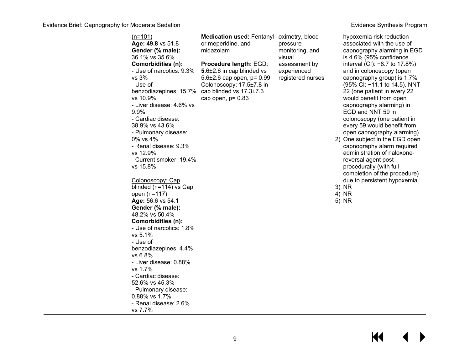| $(n=101)$<br>Age: 49.8 vs 51.8<br>Gender (% male):<br>36.1% vs 35.6%<br><b>Comorbidities (n):</b><br>- Use of narcotics: 9.3%<br>vs 3%<br>- Use of<br>benzodiazepines: 15.7%<br>vs 10.9%<br>- Liver disease: 4.6% vs<br>9.9%<br>- Cardiac disease:<br>38.9% vs 43.6%<br>- Pulmonary disease:<br>0% vs 4%<br>- Renal disease: 9.3%<br>vs 12.9%<br>- Current smoker: 19.4%<br>vs 15.8%<br>Colonoscopy: Cap<br>blinded (n=114) vs Cap<br>open (n=117) | <b>Medication used: Fentanyl</b><br>or meperidine, and<br>midazolam<br>Procedure length: EGD:<br>5.6±2.6 in cap blinded vs<br>5.6 $\pm$ 2.6 cap open, p= 0.99<br>Colonoscopy: 17.5±7.8 in<br>cap blinded vs 17.3±7.3<br>cap open, $p = 0.83$ | oximetry, blood<br>pressure<br>monitoring, and<br>visual<br>assessment by<br>experienced<br>registered nurses | hypoxemia risk reduction<br>associated with the use of<br>capnography alarming in EGD<br>is 4.6% (95% confidence<br>interval (CI): -8.7 to 17.8%)<br>and in colonoscopy (open<br>capnography group) is 1.7%<br>(95% CI: -11.1 to 14.5). NNT<br>22 (one patient in every 22<br>would benefit from open<br>capnography alarming) in<br>EGD and NNT 59 in<br>colonoscopy (one patient in<br>every 59 would benefit from<br>open capnography alarming).<br>2) One subject in the EGD open<br>capnography alarm required<br>administration of naloxone-<br>reversal agent post-<br>procedurally (with full<br>completion of the procedure)<br>due to persistent hypoxemia.<br>3) NR<br>4) NR |
|----------------------------------------------------------------------------------------------------------------------------------------------------------------------------------------------------------------------------------------------------------------------------------------------------------------------------------------------------------------------------------------------------------------------------------------------------|----------------------------------------------------------------------------------------------------------------------------------------------------------------------------------------------------------------------------------------------|---------------------------------------------------------------------------------------------------------------|-----------------------------------------------------------------------------------------------------------------------------------------------------------------------------------------------------------------------------------------------------------------------------------------------------------------------------------------------------------------------------------------------------------------------------------------------------------------------------------------------------------------------------------------------------------------------------------------------------------------------------------------------------------------------------------------|
| Age: 56.6 vs 54.1<br>Gender (% male):<br>48.2% vs 50.4%<br><b>Comorbidities (n):</b><br>- Use of narcotics: 1.8%<br>vs 5.1%                                                                                                                                                                                                                                                                                                                        |                                                                                                                                                                                                                                              |                                                                                                               | 5) NR                                                                                                                                                                                                                                                                                                                                                                                                                                                                                                                                                                                                                                                                                   |
| - Use of<br>benzodiazepines: 4.4%<br>vs 6.8%<br>- Liver disease: 0.88%<br>vs 1.7%<br>- Cardiac disease:<br>52.6% vs 45.3%                                                                                                                                                                                                                                                                                                                          |                                                                                                                                                                                                                                              |                                                                                                               |                                                                                                                                                                                                                                                                                                                                                                                                                                                                                                                                                                                                                                                                                         |
| - Pulmonary disease:<br>0.88% vs 1.7%<br>- Renal disease: 2.6%<br>vs 7.7%                                                                                                                                                                                                                                                                                                                                                                          |                                                                                                                                                                                                                                              |                                                                                                               |                                                                                                                                                                                                                                                                                                                                                                                                                                                                                                                                                                                                                                                                                         |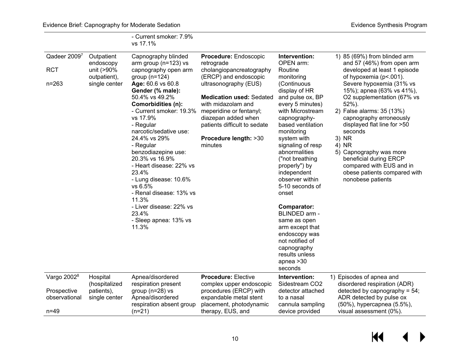|              |                            | - Current smoker: 7.9%<br>vs 17.1%                   |                                                   |                                      |
|--------------|----------------------------|------------------------------------------------------|---------------------------------------------------|--------------------------------------|
| Qadeer 20097 | Outpatient<br>endoscopy    | Capnography blinded<br>arm group ( $n=123$ ) vs      | <b>Procedure: Endoscopic</b><br>retrograde        | Intervention:<br>OPEN arm:           |
| <b>RCT</b>   | unit (>90%<br>outpatient), | capnography open arm<br>group $(n=124)$              | cholangiopancreatography<br>(ERCP) and endoscopic | Routine<br>monitoring                |
| $n = 263$    | single center              | Age: 60.6 vs 60.8<br>Gender (% male):                | ultrasonography (EUS)                             | (Continuous<br>display of HR         |
|              |                            | 50.4% vs 49.2%                                       | <b>Medication used: Sedated</b>                   | and pulse ox, BP                     |
|              |                            | <b>Comorbidities (n):</b><br>- Current smoker: 19.3% | with midazolam and<br>meperidine or fentanyl;     | every 5 minutes)<br>with Microstream |
|              |                            | vs 17.9%                                             | diazepan added when                               | capnography-                         |
|              |                            | - Regular                                            | patients difficult to sedate                      | based ventilation                    |
|              |                            | narcotic/sedative use:                               |                                                   | monitoring                           |
|              |                            | 24.4% vs 29%                                         | Procedure length: >30                             | system with                          |
|              |                            | - Regular                                            | minutes                                           | signaling of resp                    |
|              |                            | benzodiazepine use:                                  |                                                   | abnormalities                        |
|              |                            | 20.3% vs 16.9%                                       |                                                   | ("not breathing                      |
|              |                            | - Heart disease: 22% vs                              |                                                   | nronerly") hy                        |

| and 57 (46%) from open arm   |
|------------------------------|
| developed at least 1 episode |
| of hypoxemia (p<.001).       |
| Severe hypoxemia (31% vs     |
| 15%); apnea (63% vs 41%),    |
| O2 supplementation (67% vs   |
| 52%).                        |
| 2) False alarms: 35 (13%)    |
| capnography erroneously      |
| displayed flat line for >50  |
| seconds                      |
| 3) NR                        |
| <b>NR</b>                    |

5) Capnography was more

1) 85 (69%) from blinded arm

|                                        |                                         | 20.3% vs 16.9%<br>- Heart disease: 22% vs<br>23.4%<br>- Lung disease: 10.6%<br>vs 6.5%<br>- Renal disease: 13% vs<br>11.3% |                                                                                  | "not breathing<br>properly") by<br>independent<br>observer within<br>5-10 seconds of<br>onset                                                                  | beneficial during ERCP<br>compared with EUS and in<br>obese patients compared with<br>nonobese patients |
|----------------------------------------|-----------------------------------------|----------------------------------------------------------------------------------------------------------------------------|----------------------------------------------------------------------------------|----------------------------------------------------------------------------------------------------------------------------------------------------------------|---------------------------------------------------------------------------------------------------------|
|                                        |                                         | - Liver disease: 22% vs<br>23.4%<br>- Sleep apnea: 13% vs<br>11.3%                                                         |                                                                                  | Comparator:<br>BLINDED arm -<br>same as open<br>arm except that<br>endoscopy was<br>not notified of<br>capnography<br>results unless<br>apnea $>30$<br>seconds |                                                                                                         |
| Vargo 2002 <sup>8</sup><br>Prospective | Hospital<br>(hospitalized<br>patients), | Apnea/disordered<br>respiration present<br>group ( $n=28$ ) vs                                                             | <b>Procedure: Elective</b><br>complex upper endoscopic<br>procedures (ERCP) with | Intervention:<br>Sidestream CO <sub>2</sub><br>detector attached                                                                                               | 1) Episodes of apnea and<br>disordered respiration (ADR)<br>detected by capnography = $54$ ;            |
| observational<br>$n = 49$              | single center                           | Apnea/disordered<br>respiration absent group<br>$(n=21)$                                                                   | expandable metal stent<br>placement, photodynamic<br>therapy, EUS, and           | to a nasal<br>cannula sampling<br>device provided                                                                                                              | ADR detected by pulse ox<br>(50%), hypercapnea (5.5%),<br>visual assessment (0%).                       |

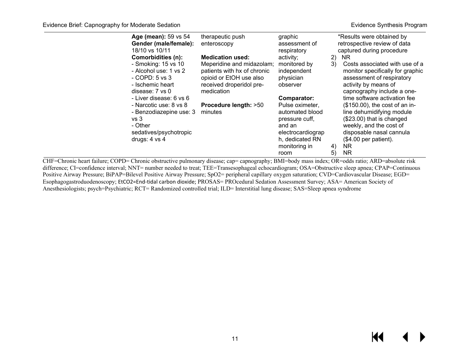| Age (mean): 59 vs 54<br>Gender (male/female):<br>18/10 vs 10/11                                                                                                              | therapeutic push<br>enteroscopy                                                                                                            | graphic<br>assessment of<br>respiratory                                                                                                        |          | *Results were obtained by<br>retrospective review of data<br>captured during procedure                                                                                                                                                                |
|------------------------------------------------------------------------------------------------------------------------------------------------------------------------------|--------------------------------------------------------------------------------------------------------------------------------------------|------------------------------------------------------------------------------------------------------------------------------------------------|----------|-------------------------------------------------------------------------------------------------------------------------------------------------------------------------------------------------------------------------------------------------------|
| <b>Comorbidities (n):</b><br>- Smoking: 15 vs 10<br>- Alcohol use: 1 vs 2<br>$-COPD: 5 \text{ vs } 3$<br>- Ischemic heart                                                    | <b>Medication used:</b><br>Meperidine and midazolam;<br>patients with hx of chronic<br>opioid or EtOH use also<br>received droperidol pre- | activity;<br>monitored by<br>independent<br>physician<br>observer                                                                              | 2)<br>3) | NR.<br>Costs associated with use of a<br>monitor specifically for graphic<br>assessment of respiratory<br>activity by means of                                                                                                                        |
| disease: $7$ vs $0$<br>- Liver disease: 6 vs 6<br>- Narcotic use: 8 vs 8<br>- Benzodiazepine use: 3<br>vs <sub>3</sub><br>- Other<br>sedatives/psychotropic<br>drugs: 4 vs 4 | medication<br>Procedure length: >50<br>minutes                                                                                             | Comparator:<br>Pulse oximeter,<br>automated blood<br>pressure cuff.<br>and an<br>electrocardiograp<br>h, dedicated RN<br>monitoring in<br>room | 4)<br>5) | capnography include a one-<br>time software activation fee<br>(\$150.00), the cost of an in-<br>line dehumidifying module<br>(\$23.00) that is changed<br>weekly, and the cost of<br>disposable nasal cannula<br>$($4.00$ per patient).<br>NR.<br>NR. |

CHF=Chronic heart failure; COPD= Chronic obstructive pulmonary disease; cap= capnography; BMI=body mass index; OR=odds ratio; ARD=absolute risk difference; CI=confidence interval; NNT= number needed to treat; TEE=Transesophageal echocardiogram; OSA=Obstructive sleep apnea; CPAP=Continuous Positive Airway Pressure; BiPAP=Bilevel Positive Airway Pressure; SpO2= peripheral capillary oxygen saturation; CVD=Cardiovascular Disease; EGD= Esophagogastroduodenoscopy; EtCO2=End-tidal carbon dioxide; PROSAS= PROcedural Sedation Assessment Survey; ASA= American Society of Anesthesiologists; psych=Psychiatric; RCT= Randomized controlled trial; ILD= Interstitial lung disease; SAS=Sleep apnea syndrome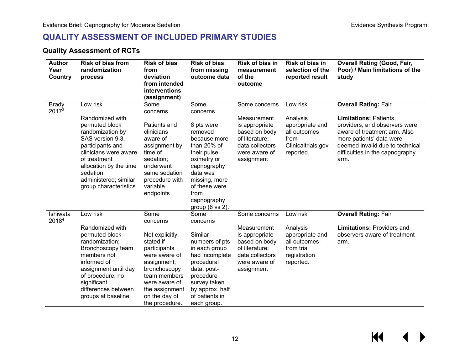#### **QUALITY ASSESSMENT OF INCLUDED PRIMARY STUDIES**

#### **Quality Assessment of RCTs**

<span id="page-13-1"></span><span id="page-13-0"></span>

| <b>Author</b><br>Year<br>Country | <b>Risk of bias from</b><br>randomization<br>process                                                                                                                                                                                       | <b>Risk of bias</b><br>from<br>deviation<br>from intended<br>interventions<br>(assignment)                                                                                                            | <b>Risk of bias</b><br>from missing<br>outcome data                                                                                                                                                           | <b>Risk of bias in</b><br>measurement<br>of the<br>outcome                                                                          | Risk of bias in<br>selection of the<br>reported result                                             | <b>Overall Rating (Good, Fair,</b><br>Poor) / Main limitations of the<br>study                                                                                                                                                          |
|----------------------------------|--------------------------------------------------------------------------------------------------------------------------------------------------------------------------------------------------------------------------------------------|-------------------------------------------------------------------------------------------------------------------------------------------------------------------------------------------------------|---------------------------------------------------------------------------------------------------------------------------------------------------------------------------------------------------------------|-------------------------------------------------------------------------------------------------------------------------------------|----------------------------------------------------------------------------------------------------|-----------------------------------------------------------------------------------------------------------------------------------------------------------------------------------------------------------------------------------------|
| <b>Brady</b><br>20173            | Low risk<br>Randomized with<br>permuted block<br>randomization by<br>SAS version 9.3,<br>participants and<br>clinicians were aware<br>of treatment<br>allocation by the time<br>sedation<br>administered; similar<br>group characteristics | Some<br>concerns<br>Patients and<br>clinicians<br>aware of<br>assignment by<br>time of<br>sedation;<br>underwent<br>same sedation<br>procedure with<br>variable<br>endpoints                          | Some<br>concerns<br>8 pts were<br>removed<br>because more<br>than 20% of<br>their pulse<br>oximetry or<br>capnography<br>data was<br>missing, more<br>of these were<br>from<br>capnography<br>group (6 vs 2). | Some concerns<br>Measurement<br>is appropriate<br>based on body<br>of literature;<br>data collectors<br>were aware of<br>assignment | Low risk<br>Analysis<br>appropriate and<br>all outcomes<br>from<br>Clinicaltrials.gov<br>reported. | <b>Overall Rating: Fair</b><br><b>Limitations: Patients,</b><br>providers, and observers were<br>aware of treatment arm. Also<br>more patients' data were<br>deemed invalid due to technical<br>difficulties in the capnography<br>arm. |
| Ishiwata<br>20184                | Low risk<br>Randomized with<br>permuted block<br>randomization;<br>Bronchoscopy team<br>members not<br>informed of<br>assignment until day<br>of procedure; no<br>significant<br>differences between<br>groups at baseline.                | Some<br>concerns<br>Not explicitly<br>stated if<br>participants<br>were aware of<br>assignment;<br>bronchoscopy<br>team members<br>were aware of<br>the assignment<br>on the day of<br>the procedure. | Some<br>concerns<br>Similar<br>numbers of pts<br>in each group<br>had incomplete<br>procedural<br>data; post-<br>procedure<br>survey taken<br>by approx. half<br>of patients in<br>each group.                | Some concerns<br>Measurement<br>is appropriate<br>based on body<br>of literature;<br>data collectors<br>were aware of<br>assignment | Low risk<br>Analysis<br>appropriate and<br>all outcomes<br>from trial<br>registration<br>reported. | <b>Overall Rating: Fair</b><br><b>Limitations: Providers and</b><br>observers aware of treatment<br>arm.                                                                                                                                |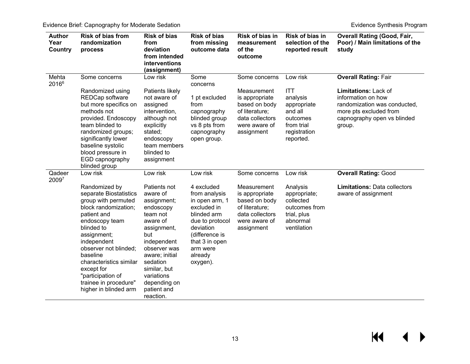<span id="page-14-0"></span>

| <b>Author</b><br>Year<br><b>Country</b> | <b>Risk of bias from</b><br>randomization<br>process                                                                                                                                                                                                                                                                     | <b>Risk of bias</b><br>from<br>deviation<br>from intended<br>interventions<br>(assignment)                                                                                                                                                | <b>Risk of bias</b><br>from missing<br>outcome data                                                                                                                                | Risk of bias in<br>measurement<br>of the<br>outcome                                                                | Risk of bias in<br>selection of the<br>reported result                                           | <b>Overall Rating (Good, Fair,</b><br>Poor) / Main limitations of the<br>study                                        |
|-----------------------------------------|--------------------------------------------------------------------------------------------------------------------------------------------------------------------------------------------------------------------------------------------------------------------------------------------------------------------------|-------------------------------------------------------------------------------------------------------------------------------------------------------------------------------------------------------------------------------------------|------------------------------------------------------------------------------------------------------------------------------------------------------------------------------------|--------------------------------------------------------------------------------------------------------------------|--------------------------------------------------------------------------------------------------|-----------------------------------------------------------------------------------------------------------------------|
| Mehta<br>20166                          | Some concerns<br>Randomized using                                                                                                                                                                                                                                                                                        | Low risk<br>Patients likely                                                                                                                                                                                                               | Some<br>concerns                                                                                                                                                                   | Some concerns<br>Measurement                                                                                       | Low risk<br><b>ITT</b>                                                                           | <b>Overall Rating: Fair</b><br>Limitations: Lack of                                                                   |
|                                         | REDCap software<br>but more specifics on<br>methods not<br>provided. Endoscopy<br>team blinded to<br>randomized groups;<br>significantly lower<br>baseline systolic<br>blood pressure in<br>EGD capnography<br>blinded group                                                                                             | not aware of<br>assigned<br>intervention,<br>although not<br>explicitly<br>stated;<br>endoscopy<br>team members<br>blinded to<br>assignment                                                                                               | 1 pt excluded<br>from<br>capnography<br>blinded group<br>vs 8 pts from<br>capnography<br>open group.                                                                               | is appropriate<br>based on body<br>of literature;<br>data collectors<br>were aware of<br>assignment                | analysis<br>appropriate<br>and all<br>outcomes<br>from trial<br>registration<br>reported.        | information on how<br>randomization was conducted,<br>more pts excluded from<br>capnography open vs blinded<br>group. |
| Qadeer<br>20097                         | Low risk                                                                                                                                                                                                                                                                                                                 | Low risk                                                                                                                                                                                                                                  | Low risk                                                                                                                                                                           | Some concerns                                                                                                      | Low risk                                                                                         | <b>Overall Rating: Good</b>                                                                                           |
|                                         | Randomized by<br>separate Biostatistics<br>group with permuted<br>block randomization;<br>patient and<br>endoscopy team<br>blinded to<br>assignment;<br>independent<br>observer not blinded;<br>baseline<br>characteristics similar<br>except for<br>"participation of<br>trainee in procedure"<br>higher in blinded arm | Patients not<br>aware of<br>assignment;<br>endoscopy<br>team not<br>aware of<br>assignment,<br>but<br>independent<br>observer was<br>aware; initial<br>sedation<br>similar, but<br>variations<br>depending on<br>patient and<br>reaction. | 4 excluded<br>from analysis<br>in open arm, 1<br>excluded in<br>blinded arm<br>due to protocol<br>deviation<br>(difference is<br>that 3 in open<br>arm were<br>already<br>oxygen). | Measurement<br>is appropriate<br>based on body<br>of literature;<br>data collectors<br>were aware of<br>assignment | Analysis<br>appropriate;<br>collected<br>outcomes from<br>trial, plus<br>abnormal<br>ventilation | <b>Limitations: Data collectors</b><br>aware of assignment                                                            |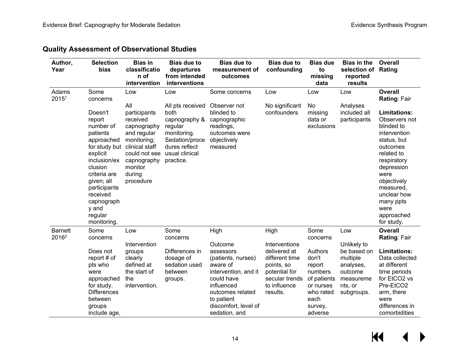#### **Quality Assessment of Observational Studies**

| Author,<br>Year                     | <b>Selection</b><br>bias                                                                                                                                                                                                    | <b>Bias in</b><br>classificatio<br>n of<br>intervention                                                                                                          | <b>Bias due to</b><br>departures<br>from intended<br>interventions                                                                    | <b>Bias due to</b><br>measurement of<br>outcomes                                                                                                                                      | <b>Bias due to</b><br>confounding                                                                                            | <b>Bias due</b><br>to<br>missing<br>data                                                                     | <b>Bias in the</b><br>selection of Rating<br>reported<br>results                                     | Overall                                                                                                                                                                                                                                      |
|-------------------------------------|-----------------------------------------------------------------------------------------------------------------------------------------------------------------------------------------------------------------------------|------------------------------------------------------------------------------------------------------------------------------------------------------------------|---------------------------------------------------------------------------------------------------------------------------------------|---------------------------------------------------------------------------------------------------------------------------------------------------------------------------------------|------------------------------------------------------------------------------------------------------------------------------|--------------------------------------------------------------------------------------------------------------|------------------------------------------------------------------------------------------------------|----------------------------------------------------------------------------------------------------------------------------------------------------------------------------------------------------------------------------------------------|
| Adams<br>20151                      | Some<br>concerns                                                                                                                                                                                                            | Low                                                                                                                                                              | Low                                                                                                                                   | Some concerns                                                                                                                                                                         | Low                                                                                                                          | Low                                                                                                          | Low                                                                                                  | <b>Overall</b><br>Rating: Fair                                                                                                                                                                                                               |
|                                     | Doesn't<br>report<br>number of<br>patients<br>approached<br>for study but<br>explicit<br>inclusion/ex<br>clusion<br>criteria are<br>given; all<br>participants<br>received<br>capnograph<br>y and<br>regular<br>monitoring. | All<br>participants<br>received<br>capnography<br>and regular<br>monitoring;<br>clinical staff<br>could not see<br>capnography<br>monitor<br>during<br>procedure | All pts received<br>both<br>capnography &<br>regular<br>monitoring.<br>Sedation/proce<br>dures reflect<br>usual clinical<br>practice. | Observer not<br>blinded to<br>capnographic<br>readings,<br>outcomes were<br>objectively<br>measured                                                                                   | No significant<br>confounders                                                                                                | No<br>missing<br>data or<br>exclusions                                                                       | Analyses<br>included all<br>participants                                                             | <b>Limitations:</b><br>Observers not<br>blinded to<br>intervention<br>status, but<br>outcomes<br>related to<br>respiratory<br>depression<br>were<br>objectively<br>measured,<br>unclear how<br>many ppts<br>were<br>approached<br>for study. |
| <b>Barnett</b><br>2016 <sup>2</sup> | Some<br>concerns                                                                                                                                                                                                            | Low                                                                                                                                                              | Some<br>concerns                                                                                                                      | High                                                                                                                                                                                  | High                                                                                                                         | Some<br>concerns                                                                                             | Low                                                                                                  | <b>Overall</b><br>Rating: Fair                                                                                                                                                                                                               |
|                                     | Does not<br>report # of<br>pts who<br>were<br>approached<br>for study.<br><b>Differences</b><br>between<br>groups<br>include age,                                                                                           | Intervention<br>groups<br>clearly<br>defined at<br>the start of<br>the<br>intervention.                                                                          | Differences in<br>dosage of<br>sedation used<br>between<br>groups.                                                                    | Outcome<br>assessors<br>(patients, nurses)<br>aware of<br>intervention, and it<br>could have<br>influenced<br>outcomes related<br>to patient<br>discomfort, level of<br>sedation, and | Interventions<br>delivered at<br>different time<br>points, so<br>potential for<br>secular trends<br>to influence<br>results. | Authors<br>don't<br>report<br>numbers<br>of patients<br>or nurses<br>who rated<br>each<br>survey,<br>adverse | Unlikely to<br>be based on<br>multiple<br>analyses,<br>outcome<br>measureme<br>nts, or<br>subgroups. | <b>Limitations:</b><br>Data collected<br>at different<br>time periods<br>for EtCO2 vs<br>Pre-EtCO2<br>arm, there<br>were<br>differences in<br>comorbidities                                                                                  |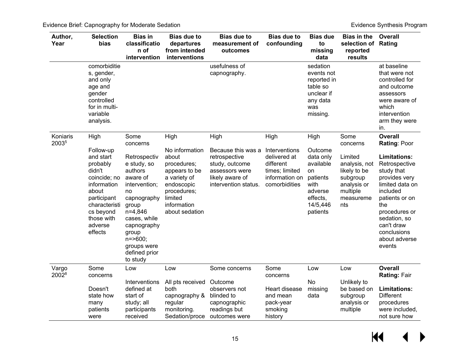| Author,<br>Year            | <b>Selection</b><br>bias                                                                                                                                              | <b>Bias in</b><br>classificatio<br>n of<br>intervention                                                                                                                                                           | <b>Bias due to</b><br>departures<br>from intended<br>interventions                                                                               | <b>Bias due to</b><br>measurement of<br>outcomes                                                                   | <b>Bias due to</b><br>confounding                                                               | <b>Bias due</b><br>to<br>missing<br>data                                                                   | <b>Bias in the</b><br>selection of Rating<br>reported<br>results                                    | <b>Overall</b>                                                                                                                                                                                                       |
|----------------------------|-----------------------------------------------------------------------------------------------------------------------------------------------------------------------|-------------------------------------------------------------------------------------------------------------------------------------------------------------------------------------------------------------------|--------------------------------------------------------------------------------------------------------------------------------------------------|--------------------------------------------------------------------------------------------------------------------|-------------------------------------------------------------------------------------------------|------------------------------------------------------------------------------------------------------------|-----------------------------------------------------------------------------------------------------|----------------------------------------------------------------------------------------------------------------------------------------------------------------------------------------------------------------------|
|                            | comorbiditie<br>s, gender,<br>and only<br>age and<br>gender<br>controlled<br>for in multi-<br>variable<br>analysis.                                                   |                                                                                                                                                                                                                   |                                                                                                                                                  | usefulness of<br>capnography.                                                                                      |                                                                                                 | sedation<br>events not<br>reported in<br>table so<br>unclear if<br>any data<br>was<br>missing.             |                                                                                                     | at baseline<br>that were not<br>controlled for<br>and outcome<br>assessors<br>were aware of<br>which<br>intervention<br>arm they were<br>in.                                                                         |
| Koniaris<br>20035          | High                                                                                                                                                                  | Some<br>concerns                                                                                                                                                                                                  | High                                                                                                                                             | High                                                                                                               | High                                                                                            | High                                                                                                       | Some<br>concerns                                                                                    | <b>Overall</b><br>Rating: Poor                                                                                                                                                                                       |
|                            | Follow-up<br>and start<br>probably<br>didn't<br>coincide; no<br>information<br>about<br>participant<br>characteristi<br>cs beyond<br>those with<br>adverse<br>effects | Retrospectiv<br>e study, so<br>authors<br>aware of<br>intervention;<br>no<br>capnography<br>group<br>n=4,846<br>cases, while<br>capnography<br>group<br>$n = > 600$ ;<br>groups were<br>defined prior<br>to study | No information<br>about<br>procedures;<br>appears to be<br>a variety of<br>endoscopic<br>procedures;<br>limited<br>information<br>about sedation | Because this was a<br>retrospective<br>study, outcome<br>assessors were<br>likely aware of<br>intervention status. | Interventions<br>delivered at<br>different<br>times; limited<br>information on<br>comorbidities | Outcome<br>data only<br>available<br>on<br>patients<br>with<br>adverse<br>effects,<br>14/5,446<br>patients | Limited<br>analysis, not<br>likely to be<br>subgroup<br>analysis or<br>multiple<br>measureme<br>nts | <b>Limitations:</b><br>Retrospective<br>study that<br>provides very<br>limited data on<br>included<br>patients or on<br>the<br>procedures or<br>sedation, so<br>can't draw<br>conclusions<br>about adverse<br>events |
| Vargo<br>2002 <sup>8</sup> | Some<br>concerns                                                                                                                                                      | Low                                                                                                                                                                                                               | Low                                                                                                                                              | Some concerns                                                                                                      | Some<br>concerns                                                                                | Low                                                                                                        | Low                                                                                                 | <b>Overall</b><br>Rating: Fair                                                                                                                                                                                       |
|                            | Doesn't<br>state how<br>many<br>patients<br>were                                                                                                                      | Interventions<br>defined at<br>start of<br>study; all<br>participants<br>received                                                                                                                                 | All pts received<br>both<br>capnography &<br>regular<br>monitoring.<br>Sedation/proce                                                            | Outcome<br>observers not<br>blinded to<br>capnographic<br>readings but<br>outcomes were                            | Heart disease<br>and mean<br>pack-year<br>smoking<br>history                                    | No<br>missing<br>data                                                                                      | Unlikely to<br>be based on<br>subgroup<br>analysis or<br>multiple                                   | <b>Limitations:</b><br><b>Different</b><br>procedures<br>were included,<br>not sure how                                                                                                                              |

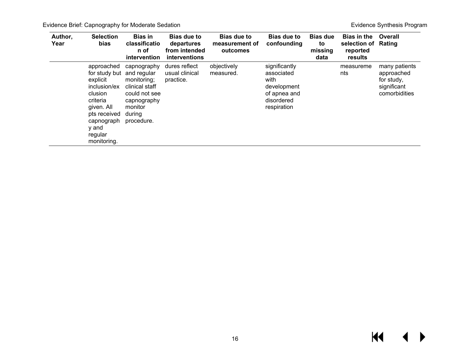<span id="page-17-0"></span>

| Author,<br>Year | <b>Selection</b><br>bias                                                                                                                                                  | <b>Bias in</b><br>classificatio<br>n of<br>intervention                                                         | <b>Bias due to</b><br>departures<br>from intended<br>interventions | <b>Bias due to</b><br>measurement of<br>outcomes | Bias due to<br>confounding                                                                      | <b>Bias due</b><br>to<br>missing<br>data | <b>Bias in the</b><br>selection of Rating<br>reported<br>results | Overall                                                                   |
|-----------------|---------------------------------------------------------------------------------------------------------------------------------------------------------------------------|-----------------------------------------------------------------------------------------------------------------|--------------------------------------------------------------------|--------------------------------------------------|-------------------------------------------------------------------------------------------------|------------------------------------------|------------------------------------------------------------------|---------------------------------------------------------------------------|
|                 | approached<br>for study but and regular<br>explicit<br>inclusion/ex<br>clusion<br>criteria<br>given. All<br>pts received<br>capnograph<br>y and<br>regular<br>monitoring. | capnography<br>monitoring;<br>clinical staff<br>could not see<br>capnography<br>monitor<br>during<br>procedure. | dures reflect<br>usual clinical<br>practice.                       | objectively<br>measured.                         | significantly<br>associated<br>with<br>development<br>of apnea and<br>disordered<br>respiration |                                          | measureme<br>nts                                                 | many patients<br>approached<br>for study,<br>significant<br>comorbidities |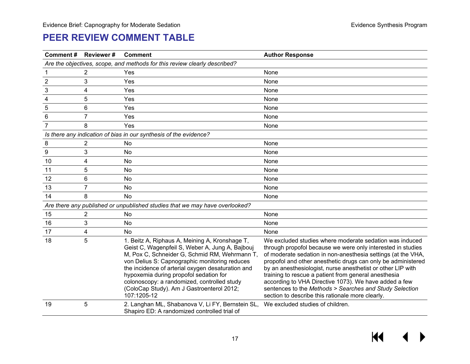## **PEER REVIEW COMMENT TABLE**

| <b>Comment#</b> | Reviewer#                                                                 | <b>Comment</b>                                                                                                                                                                                                                                                                                                                                                                                                | <b>Author Response</b>                                                                                                                                                                                                                                                                                                                                                                                                                                                                                                                                |  |  |  |  |  |  |
|-----------------|---------------------------------------------------------------------------|---------------------------------------------------------------------------------------------------------------------------------------------------------------------------------------------------------------------------------------------------------------------------------------------------------------------------------------------------------------------------------------------------------------|-------------------------------------------------------------------------------------------------------------------------------------------------------------------------------------------------------------------------------------------------------------------------------------------------------------------------------------------------------------------------------------------------------------------------------------------------------------------------------------------------------------------------------------------------------|--|--|--|--|--|--|
|                 | Are the objectives, scope, and methods for this review clearly described? |                                                                                                                                                                                                                                                                                                                                                                                                               |                                                                                                                                                                                                                                                                                                                                                                                                                                                                                                                                                       |  |  |  |  |  |  |
|                 | $\overline{c}$                                                            | Yes                                                                                                                                                                                                                                                                                                                                                                                                           | None                                                                                                                                                                                                                                                                                                                                                                                                                                                                                                                                                  |  |  |  |  |  |  |
| $\overline{2}$  | 3                                                                         | Yes                                                                                                                                                                                                                                                                                                                                                                                                           | None                                                                                                                                                                                                                                                                                                                                                                                                                                                                                                                                                  |  |  |  |  |  |  |
| 3               | 4                                                                         | Yes                                                                                                                                                                                                                                                                                                                                                                                                           | None                                                                                                                                                                                                                                                                                                                                                                                                                                                                                                                                                  |  |  |  |  |  |  |
| 4               | 5                                                                         | Yes                                                                                                                                                                                                                                                                                                                                                                                                           | None                                                                                                                                                                                                                                                                                                                                                                                                                                                                                                                                                  |  |  |  |  |  |  |
| 5               | 6                                                                         | Yes                                                                                                                                                                                                                                                                                                                                                                                                           | None                                                                                                                                                                                                                                                                                                                                                                                                                                                                                                                                                  |  |  |  |  |  |  |
| 6               | $\overline{7}$                                                            | Yes                                                                                                                                                                                                                                                                                                                                                                                                           | None                                                                                                                                                                                                                                                                                                                                                                                                                                                                                                                                                  |  |  |  |  |  |  |
| $\overline{7}$  | 8                                                                         | Yes                                                                                                                                                                                                                                                                                                                                                                                                           | None                                                                                                                                                                                                                                                                                                                                                                                                                                                                                                                                                  |  |  |  |  |  |  |
|                 |                                                                           | Is there any indication of bias in our synthesis of the evidence?                                                                                                                                                                                                                                                                                                                                             |                                                                                                                                                                                                                                                                                                                                                                                                                                                                                                                                                       |  |  |  |  |  |  |
| 8               | $\overline{\mathbf{c}}$                                                   | No                                                                                                                                                                                                                                                                                                                                                                                                            | None                                                                                                                                                                                                                                                                                                                                                                                                                                                                                                                                                  |  |  |  |  |  |  |
| 9               | 3                                                                         | <b>No</b>                                                                                                                                                                                                                                                                                                                                                                                                     | None                                                                                                                                                                                                                                                                                                                                                                                                                                                                                                                                                  |  |  |  |  |  |  |
| 10              | 4                                                                         | No                                                                                                                                                                                                                                                                                                                                                                                                            | None                                                                                                                                                                                                                                                                                                                                                                                                                                                                                                                                                  |  |  |  |  |  |  |
| 11              | 5                                                                         | No                                                                                                                                                                                                                                                                                                                                                                                                            | None                                                                                                                                                                                                                                                                                                                                                                                                                                                                                                                                                  |  |  |  |  |  |  |
| 12              | 6                                                                         | No                                                                                                                                                                                                                                                                                                                                                                                                            | None                                                                                                                                                                                                                                                                                                                                                                                                                                                                                                                                                  |  |  |  |  |  |  |
| 13              | $\overline{7}$                                                            | No                                                                                                                                                                                                                                                                                                                                                                                                            | None                                                                                                                                                                                                                                                                                                                                                                                                                                                                                                                                                  |  |  |  |  |  |  |
| 14              | 8                                                                         | No                                                                                                                                                                                                                                                                                                                                                                                                            | None                                                                                                                                                                                                                                                                                                                                                                                                                                                                                                                                                  |  |  |  |  |  |  |
|                 |                                                                           | Are there any published or unpublished studies that we may have overlooked?                                                                                                                                                                                                                                                                                                                                   |                                                                                                                                                                                                                                                                                                                                                                                                                                                                                                                                                       |  |  |  |  |  |  |
| 15              | 2                                                                         | No                                                                                                                                                                                                                                                                                                                                                                                                            | None                                                                                                                                                                                                                                                                                                                                                                                                                                                                                                                                                  |  |  |  |  |  |  |
| 16              | 3                                                                         | <b>No</b>                                                                                                                                                                                                                                                                                                                                                                                                     | None                                                                                                                                                                                                                                                                                                                                                                                                                                                                                                                                                  |  |  |  |  |  |  |
| 17              | 4                                                                         | <b>No</b>                                                                                                                                                                                                                                                                                                                                                                                                     | None                                                                                                                                                                                                                                                                                                                                                                                                                                                                                                                                                  |  |  |  |  |  |  |
| 18              | 5                                                                         | 1. Beitz A, Riphaus A, Meining A, Kronshage T,<br>Geist C, Wagenpfeil S, Weber A, Jung A, Bajbouj<br>M, Pox C, Schneider G, Schmid RM, Wehrmann T,<br>von Delius S: Capnographic monitoring reduces<br>the incidence of arterial oxygen desaturation and<br>hypoxemia during propofol sedation for<br>colonoscopy: a randomized, controlled study<br>(ColoCap Study). Am J Gastroenterol 2012;<br>107:1205-12 | We excluded studies where moderate sedation was induced<br>through propofol because we were only interested in studies<br>of moderate sedation in non-anesthesia settings (at the VHA,<br>propofol and other anesthetic drugs can only be administered<br>by an anesthesiologist, nurse anesthetist or other LIP with<br>training to rescue a patient from general anesthesia<br>according to VHA Directive 1073). We have added a few<br>sentences to the Methods > Searches and Study Selection<br>section to describe this rationale more clearly. |  |  |  |  |  |  |
| 19              | 5                                                                         | 2. Langhan ML, Shabanova V, Li FY, Bernstein SL,<br>Shapiro ED: A randomized controlled trial of                                                                                                                                                                                                                                                                                                              | We excluded studies of children.                                                                                                                                                                                                                                                                                                                                                                                                                                                                                                                      |  |  |  |  |  |  |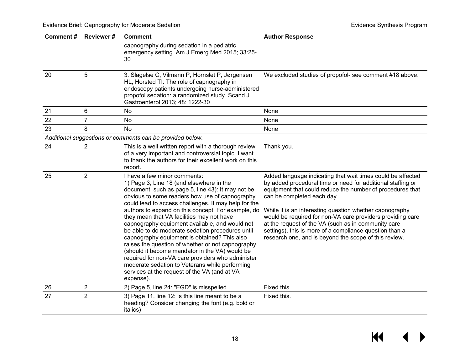| <b>Comment#</b> | <b>Reviewer#</b> | <b>Comment</b>                                                                                                                                                                                                                                                                                                                                                                                                                                                                                                                                                                                                                                                                                                                                                              | <b>Author Response</b>                                                                                                                                                                                                                                                                                                                                                                                                                                                                                                    |
|-----------------|------------------|-----------------------------------------------------------------------------------------------------------------------------------------------------------------------------------------------------------------------------------------------------------------------------------------------------------------------------------------------------------------------------------------------------------------------------------------------------------------------------------------------------------------------------------------------------------------------------------------------------------------------------------------------------------------------------------------------------------------------------------------------------------------------------|---------------------------------------------------------------------------------------------------------------------------------------------------------------------------------------------------------------------------------------------------------------------------------------------------------------------------------------------------------------------------------------------------------------------------------------------------------------------------------------------------------------------------|
|                 |                  | capnography during sedation in a pediatric<br>emergency setting. Am J Emerg Med 2015; 33:25-<br>30                                                                                                                                                                                                                                                                                                                                                                                                                                                                                                                                                                                                                                                                          |                                                                                                                                                                                                                                                                                                                                                                                                                                                                                                                           |
| 20              | 5                | 3. Slagelse C, Vilmann P, Hornslet P, Jørgensen<br>HL, Horsted TI: The role of capnography in<br>endoscopy patients undergoing nurse-administered<br>propofol sedation: a randomized study. Scand J<br>Gastroenterol 2013; 48: 1222-30                                                                                                                                                                                                                                                                                                                                                                                                                                                                                                                                      | We excluded studies of propofol- see comment #18 above.                                                                                                                                                                                                                                                                                                                                                                                                                                                                   |
| 21              | 6                | No                                                                                                                                                                                                                                                                                                                                                                                                                                                                                                                                                                                                                                                                                                                                                                          | None                                                                                                                                                                                                                                                                                                                                                                                                                                                                                                                      |
| 22              | $\overline{7}$   | No                                                                                                                                                                                                                                                                                                                                                                                                                                                                                                                                                                                                                                                                                                                                                                          | None                                                                                                                                                                                                                                                                                                                                                                                                                                                                                                                      |
| 23              | 8                | <b>No</b>                                                                                                                                                                                                                                                                                                                                                                                                                                                                                                                                                                                                                                                                                                                                                                   | None                                                                                                                                                                                                                                                                                                                                                                                                                                                                                                                      |
|                 |                  | Additional suggestions or comments can be provided below.                                                                                                                                                                                                                                                                                                                                                                                                                                                                                                                                                                                                                                                                                                                   |                                                                                                                                                                                                                                                                                                                                                                                                                                                                                                                           |
| 24              | $\overline{2}$   | This is a well written report with a thorough review<br>of a very important and controversial topic. I want<br>to thank the authors for their excellent work on this<br>report.                                                                                                                                                                                                                                                                                                                                                                                                                                                                                                                                                                                             | Thank you.                                                                                                                                                                                                                                                                                                                                                                                                                                                                                                                |
| 25              | $\overline{2}$   | I have a few minor comments:<br>1) Page 3, Line 18 (and elsewhere in the<br>document, such as page 5, line 43): It may not be<br>obvious to some readers how use of capnography<br>could lead to access challenges. It may help for the<br>authors to expand on this concept. For example, do<br>they mean that VA facilities may not have<br>capnography equipment available, and would not<br>be able to do moderate sedation procedures until<br>capnography equipment is obtained? This also<br>raises the question of whether or not capnography<br>(should it become mandator in the VA) would be<br>required for non-VA care providers who administer<br>moderate sedation to Veterans while performing<br>services at the request of the VA (and at VA<br>expense). | Added language indicating that wait times could be affected<br>by added procedural time or need for additional staffing or<br>equipment that could reduce the number of procedures that<br>can be completed each day.<br>While it is an interesting question whether capnography<br>would be required for non-VA care providers providing care<br>at the request of the VA (such as in community care<br>settings), this is more of a compliance question than a<br>research one, and is beyond the scope of this review. |
| 26              | $\overline{2}$   | 2) Page 5, line 24: "EGD" is misspelled.                                                                                                                                                                                                                                                                                                                                                                                                                                                                                                                                                                                                                                                                                                                                    | Fixed this.                                                                                                                                                                                                                                                                                                                                                                                                                                                                                                               |
| 27              | $\overline{2}$   | 3) Page 11, line 12: Is this line meant to be a<br>heading? Consider changing the font (e.g. bold or<br>italics)                                                                                                                                                                                                                                                                                                                                                                                                                                                                                                                                                                                                                                                            | Fixed this.                                                                                                                                                                                                                                                                                                                                                                                                                                                                                                               |

# $M \rightarrow$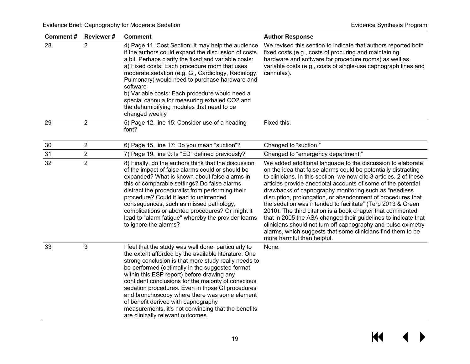| Comment# | <b>Reviewer#</b> | <b>Comment</b>                                                                                                                                                                                                                                                                                                                                                                                                                                                                                                                                                       | <b>Author Response</b>                                                                                                                                                                                                                                                                                                                                                                                                                                                                                                                                                                                                                                                                                                                                   |
|----------|------------------|----------------------------------------------------------------------------------------------------------------------------------------------------------------------------------------------------------------------------------------------------------------------------------------------------------------------------------------------------------------------------------------------------------------------------------------------------------------------------------------------------------------------------------------------------------------------|----------------------------------------------------------------------------------------------------------------------------------------------------------------------------------------------------------------------------------------------------------------------------------------------------------------------------------------------------------------------------------------------------------------------------------------------------------------------------------------------------------------------------------------------------------------------------------------------------------------------------------------------------------------------------------------------------------------------------------------------------------|
| 28       | 2                | 4) Page 11, Cost Section: It may help the audience<br>if the authors could expand the discussion of costs<br>a bit. Perhaps clarify the fixed and variable costs:<br>a) Fixed costs: Each procedure room that uses<br>moderate sedation (e.g. GI, Cardiology, Radiology,<br>Pulmonary) would need to purchase hardware and<br>software<br>b) Variable costs: Each procedure would need a<br>special cannula for measuring exhaled CO2 and<br>the dehumidifying modules that need to be<br>changed weekly                                                             | We revised this section to indicate that authors reported both<br>fixed costs (e.g., costs of procuring and maintaining<br>hardware and software for procedure rooms) as well as<br>variable costs (e.g., costs of single-use capnograph lines and<br>cannulas).                                                                                                                                                                                                                                                                                                                                                                                                                                                                                         |
| 29       | $\overline{2}$   | 5) Page 12, line 15: Consider use of a heading<br>font?                                                                                                                                                                                                                                                                                                                                                                                                                                                                                                              | Fixed this.                                                                                                                                                                                                                                                                                                                                                                                                                                                                                                                                                                                                                                                                                                                                              |
| 30       | $\overline{2}$   | 6) Page 15, line 17: Do you mean "suction"?                                                                                                                                                                                                                                                                                                                                                                                                                                                                                                                          | Changed to "suction."                                                                                                                                                                                                                                                                                                                                                                                                                                                                                                                                                                                                                                                                                                                                    |
| 31       | 2                | 7) Page 19, line 9: Is "ED" defined previously?                                                                                                                                                                                                                                                                                                                                                                                                                                                                                                                      | Changed to "emergency department."                                                                                                                                                                                                                                                                                                                                                                                                                                                                                                                                                                                                                                                                                                                       |
| 32       | $\overline{2}$   | 8) Finally, do the authors think that the discussion<br>of the impact of false alarms could or should be<br>expanded? What is known about false alarms in<br>this or comparable settings? Do false alarms<br>distract the proceduralist from performing their<br>procedure? Could it lead to unintended<br>consequences, such as missed pathology,<br>complications or aborted procedures? Or might it<br>lead to "alarm fatigue" whereby the provider learns<br>to ignore the alarms?                                                                               | We added additional language to the discussion to elaborate<br>on the idea that false alarms could be potentially distracting<br>to clinicians. In this section, we now cite 3 articles. 2 of these<br>articles provide anecdotal accounts of some of the potential<br>drawbacks of capnography monitoring such as "needless<br>disruption, prolongation, or abandonment of procedures that<br>the sedation was intended to facilitate" (Terp 2013 & Green<br>2010). The third citation is a book chapter that commented<br>that in 2005 the ASA changed their guidelines to indicate that<br>clinicians should not turn off capnography and pulse oximetry<br>alarms, which suggests that some clinicians find them to be<br>more harmful than helpful. |
| 33       | 3                | I feel that the study was well done, particularly to<br>the extent afforded by the available literature. One<br>strong conclusion is that more study really needs to<br>be performed (optimally in the suggested format<br>within this ESP report) before drawing any<br>confident conclusions for the majority of conscious<br>sedation procedures. Even in those GI procedures<br>and bronchoscopy where there was some element<br>of benefit derived with capnography<br>measurements, it's not convincing that the benefits<br>are clinically relevant outcomes. | None.                                                                                                                                                                                                                                                                                                                                                                                                                                                                                                                                                                                                                                                                                                                                                    |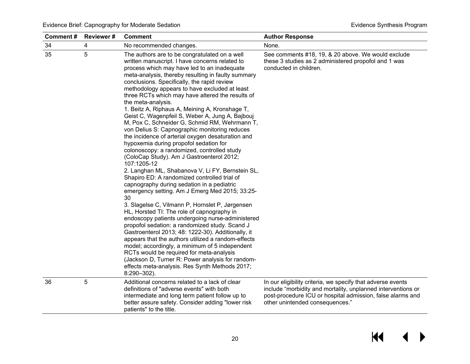| <b>Comment#</b> | <b>Reviewer#</b><br><b>Comment</b> |                                                                                                                                                                                                                                                                                                                                                                                                                                                                                                                                                                                                                                                                                                                                                                                                                                                                                                                                                                                                                                                                                                                                                                                                                                                                                                                                                                                                                                                                                                                                                 | <b>Author Response</b>                                                                                                                                                                                                       |  |  |
|-----------------|------------------------------------|-------------------------------------------------------------------------------------------------------------------------------------------------------------------------------------------------------------------------------------------------------------------------------------------------------------------------------------------------------------------------------------------------------------------------------------------------------------------------------------------------------------------------------------------------------------------------------------------------------------------------------------------------------------------------------------------------------------------------------------------------------------------------------------------------------------------------------------------------------------------------------------------------------------------------------------------------------------------------------------------------------------------------------------------------------------------------------------------------------------------------------------------------------------------------------------------------------------------------------------------------------------------------------------------------------------------------------------------------------------------------------------------------------------------------------------------------------------------------------------------------------------------------------------------------|------------------------------------------------------------------------------------------------------------------------------------------------------------------------------------------------------------------------------|--|--|
| 34              | 4                                  | No recommended changes.                                                                                                                                                                                                                                                                                                                                                                                                                                                                                                                                                                                                                                                                                                                                                                                                                                                                                                                                                                                                                                                                                                                                                                                                                                                                                                                                                                                                                                                                                                                         | None.                                                                                                                                                                                                                        |  |  |
| 35              | 5                                  | The authors are to be congratulated on a well<br>written manuscript. I have concerns related to<br>process which may have led to an inadequate<br>meta-analysis, thereby resulting in faulty summary<br>conclusions. Specifically, the rapid review<br>methodology appears to have excluded at least<br>three RCTs which may have altered the results of<br>the meta-analysis.<br>1. Beitz A, Riphaus A, Meining A, Kronshage T,<br>Geist C, Wagenpfeil S, Weber A, Jung A, Bajbouj<br>M, Pox C, Schneider G, Schmid RM, Wehrmann T,<br>von Delius S: Capnographic monitoring reduces<br>the incidence of arterial oxygen desaturation and<br>hypoxemia during propofol sedation for<br>colonoscopy: a randomized, controlled study<br>(ColoCap Study). Am J Gastroenterol 2012;<br>107:1205-12<br>2. Langhan ML, Shabanova V, Li FY, Bernstein SL,<br>Shapiro ED: A randomized controlled trial of<br>capnography during sedation in a pediatric<br>emergency setting. Am J Emerg Med 2015; 33:25-<br>30<br>3. Slagelse C, Vilmann P, Hornslet P, Jørgensen<br>HL, Horsted TI: The role of capnography in<br>endoscopy patients undergoing nurse-administered<br>propofol sedation: a randomized study. Scand J<br>Gastroenterol 2013; 48: 1222-30). Additionally, it<br>appears that the authors utilized a random-effects<br>model; accordingly, a minimum of 5 independent<br>RCTs would be required for meta-analysis<br>(Jackson D, Turner R: Power analysis for random-<br>effects meta-analysis. Res Synth Methods 2017;<br>8:290-302). | See comments #18, 19, & 20 above. We would exclude<br>these 3 studies as 2 administered propofol and 1 was<br>conducted in children.                                                                                         |  |  |
| 36              | 5                                  | Additional concerns related to a lack of clear<br>definitions of "adverse events" with both<br>intermediate and long term patient follow up to<br>better assure safety. Consider adding "lower risk<br>patients" to the title.                                                                                                                                                                                                                                                                                                                                                                                                                                                                                                                                                                                                                                                                                                                                                                                                                                                                                                                                                                                                                                                                                                                                                                                                                                                                                                                  | In our eligibility criteria, we specify that adverse events<br>include "morbidity and mortality, unplanned interventions or<br>post-procedure ICU or hospital admission, false alarms and<br>other unintended consequences." |  |  |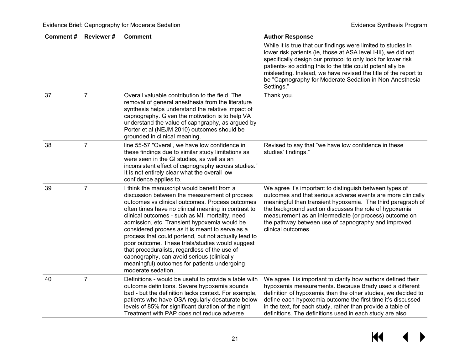| <b>Comment#</b> | Reviewer#      | <b>Comment</b>                                                                                                                                                                                                                                                                                                                                                                                                                                                                                                                                                                                                                                | <b>Author Response</b>                                                                                                                                                                                                                                                                                                                                                                                    |
|-----------------|----------------|-----------------------------------------------------------------------------------------------------------------------------------------------------------------------------------------------------------------------------------------------------------------------------------------------------------------------------------------------------------------------------------------------------------------------------------------------------------------------------------------------------------------------------------------------------------------------------------------------------------------------------------------------|-----------------------------------------------------------------------------------------------------------------------------------------------------------------------------------------------------------------------------------------------------------------------------------------------------------------------------------------------------------------------------------------------------------|
|                 |                |                                                                                                                                                                                                                                                                                                                                                                                                                                                                                                                                                                                                                                               | While it is true that our findings were limited to studies in<br>lower risk patients (ie, those at ASA level I-III), we did not<br>specifically design our protocol to only look for lower risk<br>patients- so adding this to the title could potentially be<br>misleading. Instead, we have revised the title of the report to<br>be "Capnography for Moderate Sedation in Non-Anesthesia<br>Settings." |
| 37              | $\overline{7}$ | Overall valuable contribution to the field. The<br>removal of general anesthesia from the literature<br>synthesis helps understand the relative impact of<br>capnography. Given the motivation is to help VA<br>understand the value of capngraphy, as argued by<br>Porter et al (NEJM 2010) outcomes should be<br>grounded in clinical meaning.                                                                                                                                                                                                                                                                                              | Thank you.                                                                                                                                                                                                                                                                                                                                                                                                |
| 38              | $\overline{7}$ | line 55-57 "Overall, we have low confidence in<br>these findings due to similar study limitations as<br>were seen in the GI studies, as well as an<br>inconsistent effect of capnography across studies."<br>It is not entirely clear what the overall low<br>confidence applies to.                                                                                                                                                                                                                                                                                                                                                          | Revised to say that "we have low confidence in these<br>studies' findings."                                                                                                                                                                                                                                                                                                                               |
| 39              | $\overline{7}$ | I think the manuscript would benefit from a<br>discussion between the measurement of process<br>outcomes vs clinical outcomes. Process outcomes<br>often times have no clinical meaning in contrast to<br>clinical outcomes - such as MI, mortality, need<br>admission, etc. Transient hypoxemia would be<br>considered process as it is meant to serve as a<br>process that could portend, but not actually lead to<br>poor outcome. These trials/studies would suggest<br>that proceduralists, regardless of the use of<br>capnography, can avoid serious (clinically<br>meaningful) outcomes for patients undergoing<br>moderate sedation. | We agree it's important to distinguish between types of<br>outcomes and that serious adverse events are more clinically<br>meaningful than transient hypoxemia. The third paragraph of<br>the background section discusses the role of hypoxemia<br>measurement as an intermediate (or process) outcome on<br>the pathway between use of capnography and improved<br>clinical outcomes.                   |
| 40              | $\overline{7}$ | Definitions - would be useful to provide a table with<br>outcome definitions. Severe hypoxemia sounds<br>bad - but the definition lacks context. For example,<br>patients who have OSA regularly desaturate below<br>levels of 85% for significant duration of the night.<br>Treatment with PAP does not reduce adverse                                                                                                                                                                                                                                                                                                                       | We agree it is important to clarify how authors defined their<br>hypoxemia measurements. Because Brady used a different<br>definition of hypoxemia than the other studies, we decided to<br>define each hypoxemia outcome the first time it's discussed<br>in the text, for each study, rather than provide a table of<br>definitions. The definitions used in each study are also                        |

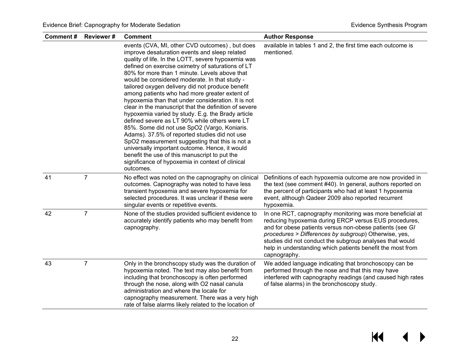| Comment# | <b>Reviewer#</b> | <b>Comment</b>                                                                                                                                                                                                                                                                                                                                                                                                                                                                                                                                                                                                                                                                                                                                                                                                                                                                                                                                                | <b>Author Response</b>                                                                                                                                                                                                                                                                                                                                                            |
|----------|------------------|---------------------------------------------------------------------------------------------------------------------------------------------------------------------------------------------------------------------------------------------------------------------------------------------------------------------------------------------------------------------------------------------------------------------------------------------------------------------------------------------------------------------------------------------------------------------------------------------------------------------------------------------------------------------------------------------------------------------------------------------------------------------------------------------------------------------------------------------------------------------------------------------------------------------------------------------------------------|-----------------------------------------------------------------------------------------------------------------------------------------------------------------------------------------------------------------------------------------------------------------------------------------------------------------------------------------------------------------------------------|
|          |                  | events (CVA, MI, other CVD outcomes), but does<br>improve desaturation events and sleep related<br>quality of life. In the LOTT, severe hypoxemia was<br>defined on exercise oximetry of saturations of LT<br>80% for more than 1 minute. Levels above that<br>would be considered moderate. In that study -<br>tailored oxygen delivery did not produce benefit<br>among patients who had more greater extent of<br>hypoxemia than that under consideration. It is not<br>clear in the manuscript that the definition of severe<br>hypoxemia varied by study. E.g. the Brady article<br>defined severe as LT 90% while others were LT<br>85%. Some did not use SpO2 (Vargo, Koniaris.<br>Adams). 37.5% of reported studies did not use<br>SpO2 measurement suggesting that this is not a<br>universally important outcome. Hence, it would<br>benefit the use of this manuscript to put the<br>significance of hypoxemia in context of clinical<br>outcomes. | available in tables 1 and 2, the first time each outcome is<br>mentioned.                                                                                                                                                                                                                                                                                                         |
| 41       | $\overline{7}$   | No effect was noted on the capnography on clinical<br>outcomes. Capnography was noted to have less<br>transient hypoxemia and severe hypoxemia for<br>selected procedures. It was unclear if these were<br>singular events or repetitive events.                                                                                                                                                                                                                                                                                                                                                                                                                                                                                                                                                                                                                                                                                                              | Definitions of each hypoxemia outcome are now provided in<br>the text (see comment #40). In general, authors reported on<br>the percent of participants who had at least 1 hypoxemia<br>event, although Qadeer 2009 also reported recurrent<br>hypoxemia.                                                                                                                         |
| 42       | $\overline{7}$   | None of the studies provided sufficient evidence to<br>accurately identify patients who may benefit from<br>capnography.                                                                                                                                                                                                                                                                                                                                                                                                                                                                                                                                                                                                                                                                                                                                                                                                                                      | In one RCT, capnography monitoring was more beneficial at<br>reducing hypoxemia during ERCP versus EUS procedures,<br>and for obese patients versus non-obese patients (see GI<br>procedures > Differences by subgroup) Otherwise, yes,<br>studies did not conduct the subgroup analyses that would<br>help in understanding which patients benefit the most from<br>capnography. |
| 43       | $\overline{7}$   | Only in the bronchscopy study was the duration of<br>hypoxemia noted. The text may also benefit from<br>including that bronchoscopy is often performed<br>through the nose, along with O2 nasal canula<br>administration and where the locale for<br>capnography measurement. There was a very high<br>rate of false alarms likely related to the location of                                                                                                                                                                                                                                                                                                                                                                                                                                                                                                                                                                                                 | We added language indicating that bronchoscopy can be<br>performed through the nose and that this may have<br>interfered with capnography readings (and caused high rates<br>of false alarms) in the bronchoscopy study.                                                                                                                                                          |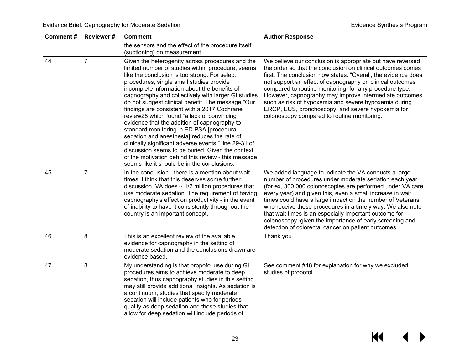| <b>Comment#</b> | <b>Reviewer#</b> | <b>Comment</b>                                                                                                                                                                                                                                                                                                                                                                                                                                                                                                                                                                                                                                                                                                                                                                                                               | <b>Author Response</b>                                                                                                                                                                                                                                                                                                                                                                                                                                                                                                                             |
|-----------------|------------------|------------------------------------------------------------------------------------------------------------------------------------------------------------------------------------------------------------------------------------------------------------------------------------------------------------------------------------------------------------------------------------------------------------------------------------------------------------------------------------------------------------------------------------------------------------------------------------------------------------------------------------------------------------------------------------------------------------------------------------------------------------------------------------------------------------------------------|----------------------------------------------------------------------------------------------------------------------------------------------------------------------------------------------------------------------------------------------------------------------------------------------------------------------------------------------------------------------------------------------------------------------------------------------------------------------------------------------------------------------------------------------------|
|                 |                  | the sensors and the effect of the procedure itself<br>(suctioning) on measurement.                                                                                                                                                                                                                                                                                                                                                                                                                                                                                                                                                                                                                                                                                                                                           |                                                                                                                                                                                                                                                                                                                                                                                                                                                                                                                                                    |
| 44              | $\overline{7}$   | Given the heterogenity across procedures and the<br>limited number of studies within procedure, seems<br>like the conclusion is too strong. For select<br>procedures, single small studies provide<br>incomplete information about the benefits of<br>capnography and collectively with larger GI studies<br>do not suggest clinical benefit. The message "Our<br>findings are consistent with a 2017 Cochrane<br>review28 which found "a lack of convincing<br>evidence that the addition of capnography to<br>standard monitoring in ED PSA [procedural<br>sedation and anesthesia] reduces the rate of<br>clinically significant adverse events." line 29-31 of<br>discussion seems to be buried. Given the context<br>of the motivation behind this review - this message<br>seems like it should be in the conclusions. | We believe our conclusion is appropriate but have reversed<br>the order so that the conclusion on clinical outcomes comes<br>first. The conclusion now states: "Overall, the evidence does<br>not support an effect of capnography on clinical outcomes<br>compared to routine monitoring, for any procedure type.<br>However, capnography may improve intermediate outcomes<br>such as risk of hypoxemia and severe hypoxemia during<br>ERCP, EUS, bronchoscopy, and severe hypoxemia for<br>colonoscopy compared to routine monitoring."         |
| 45              | $\overline{7}$   | In the conclusion - there is a mention about wait-<br>times. I think that this deserves some further<br>discussion. VA does $\sim$ 1/2 million procedures that<br>use moderate sedation. The requirement of having<br>capnography's effect on productivity - in the event<br>of inability to have it consistently throughout the<br>country is an important concept.                                                                                                                                                                                                                                                                                                                                                                                                                                                         | We added language to indicate the VA conducts a large<br>number of procedures under moderate sedation each year<br>(for ex, 300,000 colonoscopies are performed under VA care<br>every year) and given this, even a small increase in wait<br>times could have a large impact on the number of Veterans<br>who receive these procedures in a timely way. We also note<br>that wait times is an especially important outcome for<br>colonoscopy, given the importance of early screening and<br>detection of colorectal cancer on patient outcomes. |
| 46              | 8                | This is an excellent review of the available<br>evidence for capnography in the setting of<br>moderate sedation and the conclusions drawn are<br>evidence based.                                                                                                                                                                                                                                                                                                                                                                                                                                                                                                                                                                                                                                                             | Thank you.                                                                                                                                                                                                                                                                                                                                                                                                                                                                                                                                         |
| 47              | 8                | My understanding is that propofol use during GI<br>procedures aims to achieve moderate to deep<br>sedation, thus capnography studies in this setting<br>may still provide additional insights. As sedation is<br>a continuum, studies that specify moderate<br>sedation will include patients who for periods<br>qualify as deep sedation and those studies that<br>allow for deep sedation will include periods of                                                                                                                                                                                                                                                                                                                                                                                                          | See comment #18 for explanation for why we excluded<br>studies of propofol.                                                                                                                                                                                                                                                                                                                                                                                                                                                                        |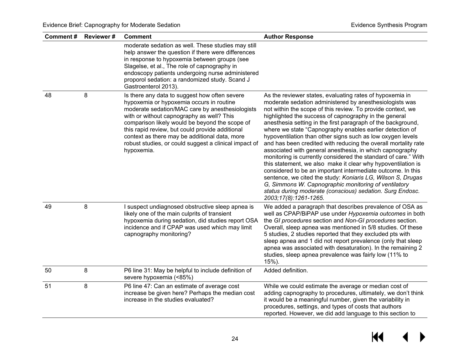| Comment# | <b>Reviewer#</b> | <b>Comment</b>                                                                                                                                                                                                                                                                                                                                                                                                         | <b>Author Response</b>                                                                                                                                                                                                                                                                                                                                                                                                                                                                                                                                                                                                                                                                                                                                                                                                                                                                                                                                                            |
|----------|------------------|------------------------------------------------------------------------------------------------------------------------------------------------------------------------------------------------------------------------------------------------------------------------------------------------------------------------------------------------------------------------------------------------------------------------|-----------------------------------------------------------------------------------------------------------------------------------------------------------------------------------------------------------------------------------------------------------------------------------------------------------------------------------------------------------------------------------------------------------------------------------------------------------------------------------------------------------------------------------------------------------------------------------------------------------------------------------------------------------------------------------------------------------------------------------------------------------------------------------------------------------------------------------------------------------------------------------------------------------------------------------------------------------------------------------|
|          |                  | moderate sedation as well. These studies may still<br>help answer the question if there were differences<br>in response to hypoxemia between groups (see<br>Slagelse, et al., The role of capnography in<br>endoscopy patients undergoing nurse administered<br>proporol sedation: a randomized study. Scand J<br>Gastroenterol 2013).                                                                                 |                                                                                                                                                                                                                                                                                                                                                                                                                                                                                                                                                                                                                                                                                                                                                                                                                                                                                                                                                                                   |
| 48       | 8                | Is there any data to suggest how often severe<br>hypoxemia or hypoxemia occurs in routine<br>moderate sedation/MAC care by anesthesiologists<br>with or without capnography as well? This<br>comparison likely would be beyond the scope of<br>this rapid review, but could provide additional<br>context as there may be additional data, more<br>robust studies, or could suggest a clinical impact of<br>hypoxemia. | As the reviewer states, evaluating rates of hypoxemia in<br>moderate sedation administered by anesthesiologists was<br>not within the scope of this review. To provide context, we<br>highlighted the success of capnography in the general<br>anesthesia setting in the first paragraph of the background,<br>where we state "Capnography enables earlier detection of<br>hypoventilation than other signs such as low oxygen levels<br>and has been credited with reducing the overall mortality rate<br>associated with general anesthesia, in which capnography<br>monitoring is currently considered the standard of care." With<br>this statement, we also make it clear why hypoventilation is<br>considered to be an important intermediate outcome. In this<br>sentence, we cited the study: Koniaris LG, Wilson S, Drugas<br>G, Simmons W. Capnographic monitoring of ventilatory<br>status during moderate (conscious) sedation. Surg Endosc.<br>2003;17(8):1261-1265. |
| 49       | 8                | I suspect undiagnosed obstructive sleep apnea is<br>likely one of the main culprits of transient<br>hypoxemia during sedation, did studies report OSA<br>incidence and if CPAP was used which may limit<br>capnography monitoring?                                                                                                                                                                                     | We added a paragraph that describes prevalence of OSA as<br>well as CPAP/BiPAP use under Hypoxemia outcomes in both<br>the GI procedures section and Non-GI procedures section.<br>Overall, sleep apnea was mentioned in 5/8 studies. Of these<br>5 studies, 2 studies reported that they excluded pts with<br>sleep apnea and 1 did not report prevalence (only that sleep<br>apnea was associated with desaturation). In the remaining 2<br>studies, sleep apnea prevalence was fairly low (11% to<br>15%).                                                                                                                                                                                                                                                                                                                                                                                                                                                                     |
| 50       | 8                | P6 line 31: May be helpful to include definition of<br>severe hypoxemia (<85%)                                                                                                                                                                                                                                                                                                                                         | Added definition.                                                                                                                                                                                                                                                                                                                                                                                                                                                                                                                                                                                                                                                                                                                                                                                                                                                                                                                                                                 |
| 51       | 8                | P6 line 47: Can an estimate of average cost<br>increase be given here? Perhaps the median cost<br>increase in the studies evaluated?                                                                                                                                                                                                                                                                                   | While we could estimate the average or median cost of<br>adding capnography to procedures, ultimately, we don't think<br>it would be a meaningful number, given the variability in<br>procedures, settings, and types of costs that authors<br>reported. However, we did add language to this section to                                                                                                                                                                                                                                                                                                                                                                                                                                                                                                                                                                                                                                                                          |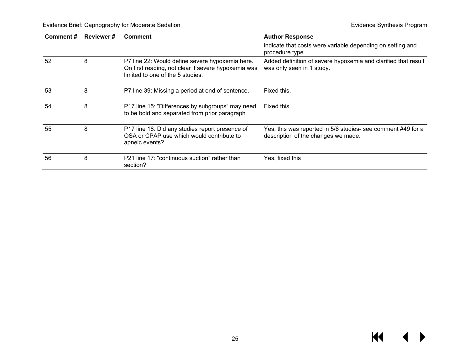| Comment# | <b>Reviewer#</b> | <b>Comment</b>                                                                                                                             | <b>Author Response</b>                                                                              |
|----------|------------------|--------------------------------------------------------------------------------------------------------------------------------------------|-----------------------------------------------------------------------------------------------------|
|          |                  |                                                                                                                                            | indicate that costs were variable depending on setting and<br>procedure type.                       |
| 52       | 8                | P7 line 22: Would define severe hypoxemia here.<br>On first reading, not clear if severe hypoxemia was<br>limited to one of the 5 studies. | Added definition of severe hypoxemia and clarified that result<br>was only seen in 1 study.         |
| 53       | 8                | P7 line 39: Missing a period at end of sentence.                                                                                           | Fixed this.                                                                                         |
| 54       | 8                | P17 line 15: "Differences by subgroups" may need<br>to be bold and separated from prior paragraph                                          | Fixed this.                                                                                         |
| 55       | 8                | P17 line 18: Did any studies report presence of<br>OSA or CPAP use which would contribute to<br>apneic events?                             | Yes, this was reported in 5/8 studies- see comment #49 for a<br>description of the changes we made. |
| 56       | 8                | P21 line 17: "continuous suction" rather than<br>section?                                                                                  | Yes, fixed this                                                                                     |